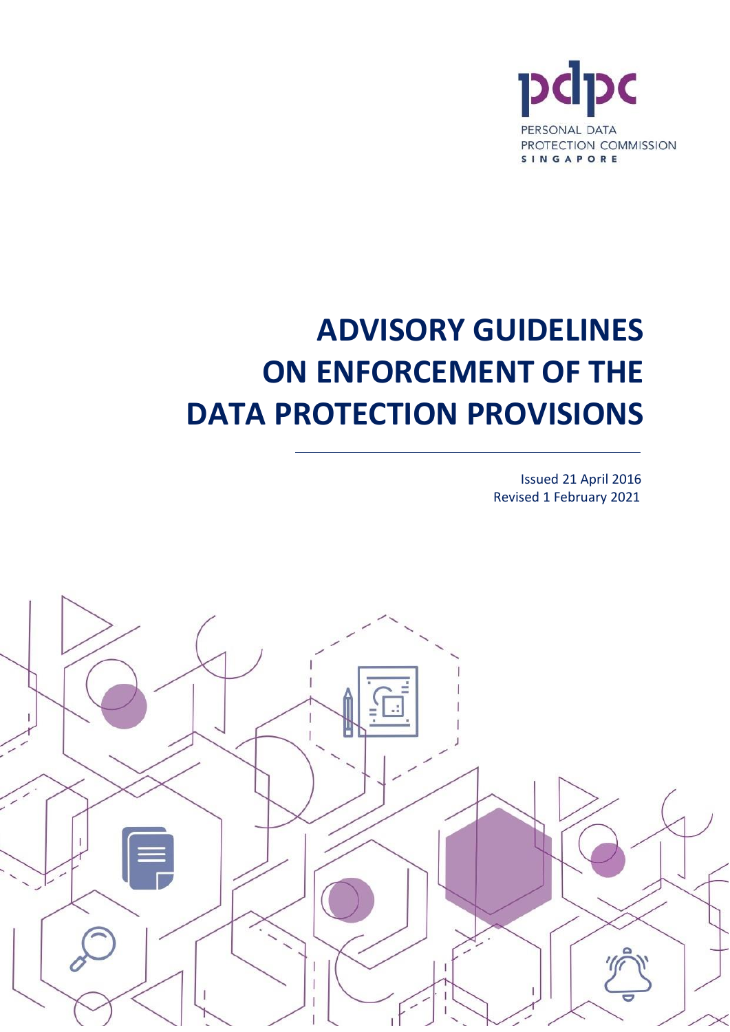

# **ADVISORY GUIDELINES ON ENFORCEMENT OF THE DATA PROTECTION PROVISIONS**

Issued 21 April 2016 Revised 1 February 2021

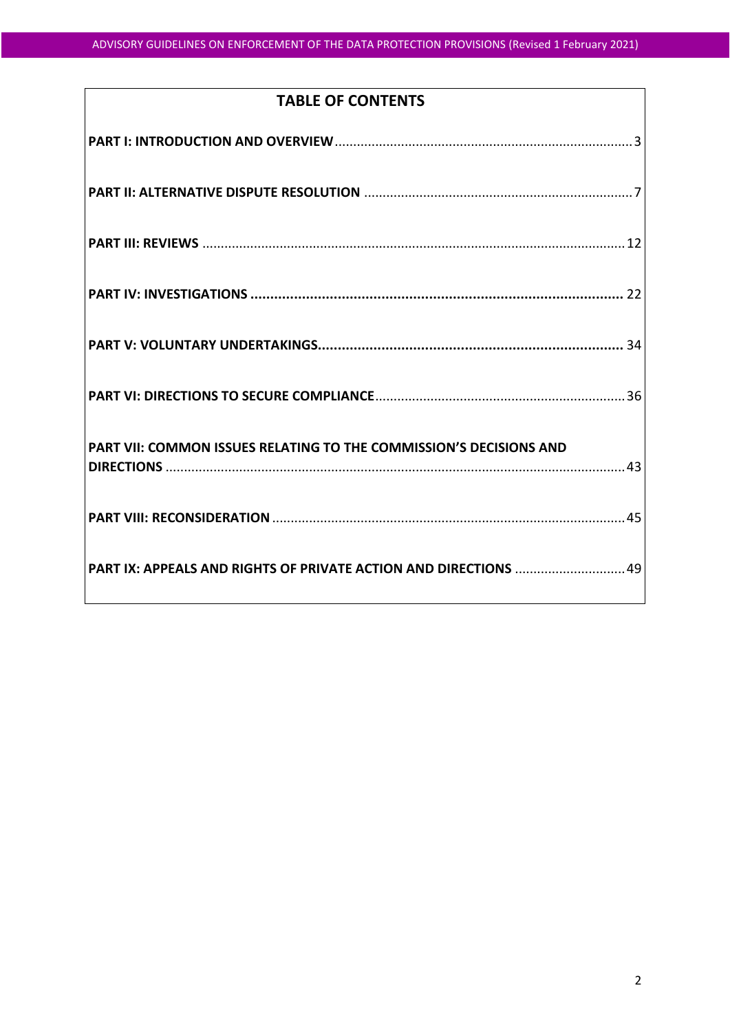# **TABLE OF CONTENTS**

| PART IX: APPEALS AND RIGHTS OF PRIVATE ACTION AND DIRECTIONS  49 |
|------------------------------------------------------------------|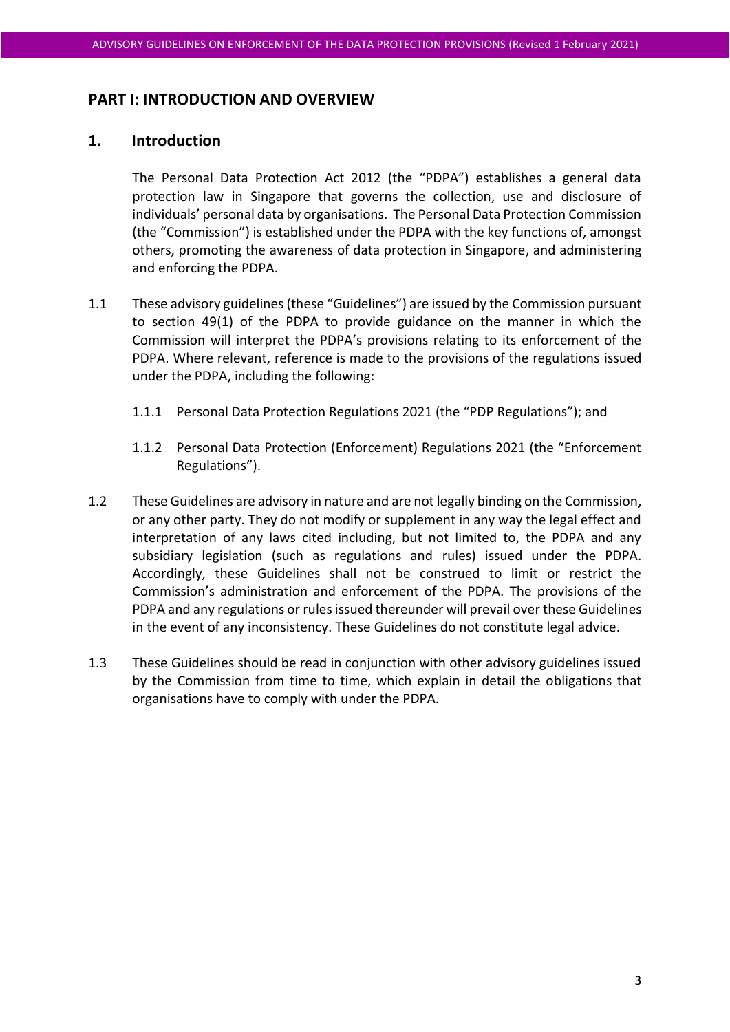#### **PART I: INTRODUCTION AND OVERVIEW**

## <span id="page-2-0"></span>**1. Introduction**

The Personal Data Protection Act 2012 (the "PDPA") establishes a general data protection law in Singapore that governs the collection, use and disclosure of individuals' personal data by organisations. The Personal Data Protection Commission (the "Commission") is established under the PDPA with the key functions of, amongst others, promoting the awareness of data protection in Singapore, and administering and enforcing the PDPA.

- 1.1 These advisory guidelines (these "Guidelines") are issued by the Commission pursuant to section 49(1) of the PDPA to provide guidance on the manner in which the Commission will interpret the PDPA's provisions relating to its enforcement of the PDPA. Where relevant, reference is made to the provisions of the regulations issued under the PDPA, including the following:
	- 1.1.1 Personal Data Protection Regulations 2021 (the "PDP Regulations"); and
	- 1.1.2 Personal Data Protection (Enforcement) Regulations 2021 (the "Enforcement Regulations").
- 1.2 These Guidelines are advisory in nature and are not legally binding on the Commission, or any other party. They do not modify or supplement in any way the legal effect and interpretation of any laws cited including, but not limited to, the PDPA and any subsidiary legislation (such as regulations and rules) issued under the PDPA. Accordingly, these Guidelines shall not be construed to limit or restrict the Commission's administration and enforcement of the PDPA. The provisions of the PDPA and any regulations or rules issued thereunder will prevail over these Guidelines in the event of any inconsistency. These Guidelines do not constitute legal advice.
- 1.3 These Guidelines should be read in conjunction with other advisory guidelines issued by the Commission from time to time, which explain in detail the obligations that organisations have to comply with under the PDPA.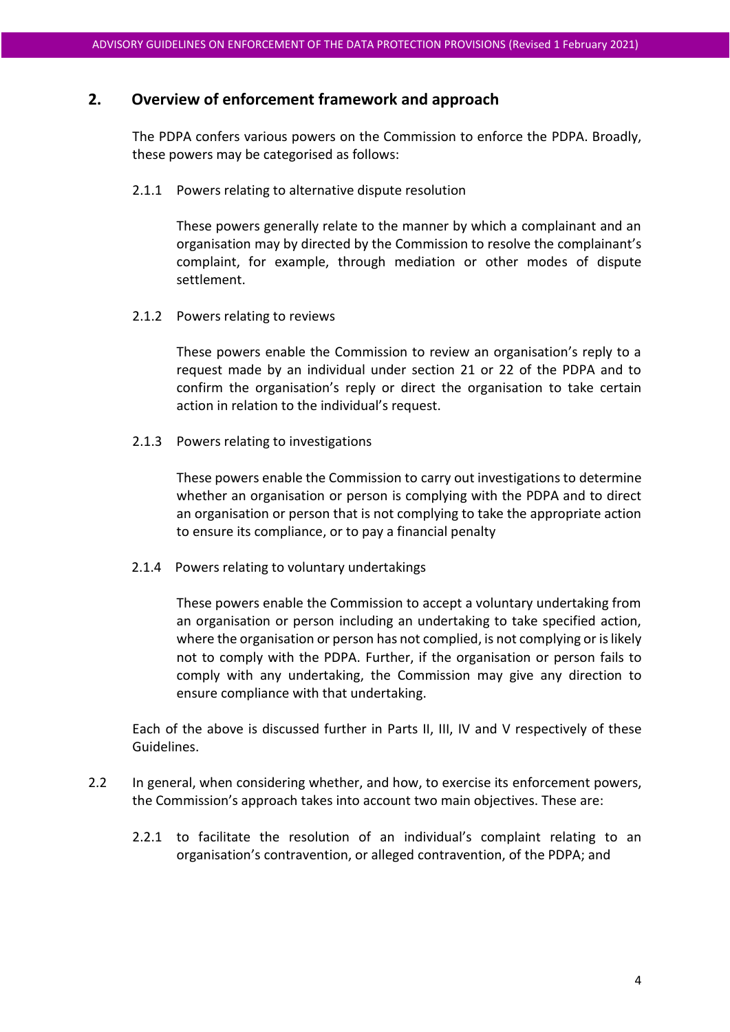## **2. Overview of enforcement framework and approach**

The PDPA confers various powers on the Commission to enforce the PDPA. Broadly, these powers may be categorised as follows:

#### 2.1.1 Powers relating to alternative dispute resolution

These powers generally relate to the manner by which a complainant and an organisation may by directed by the Commission to resolve the complainant's complaint, for example, through mediation or other modes of dispute settlement.

#### 2.1.2 Powers relating to reviews

These powers enable the Commission to review an organisation's reply to a request made by an individual under section 21 or 22 of the PDPA and to confirm the organisation's reply or direct the organisation to take certain action in relation to the individual's request.

2.1.3 Powers relating to investigations

These powers enable the Commission to carry out investigations to determine whether an organisation or person is complying with the PDPA and to direct an organisation or person that is not complying to take the appropriate action to ensure its compliance, or to pay a financial penalty

2.1.4 Powers relating to voluntary undertakings

These powers enable the Commission to accept a voluntary undertaking from an organisation or person including an undertaking to take specified action, where the organisation or person has not complied, is not complying or is likely not to comply with the PDPA. Further, if the organisation or person fails to comply with any undertaking, the Commission may give any direction to ensure compliance with that undertaking.

Each of the above is discussed further in Parts II, III, IV and V respectively of these Guidelines.

- <span id="page-3-0"></span>2.2 In general, when considering whether, and how, to exercise its enforcement powers, the Commission's approach takes into account two main objectives. These are:
	- 2.2.1 to facilitate the resolution of an individual's complaint relating to an organisation's contravention, or alleged contravention, of the PDPA; and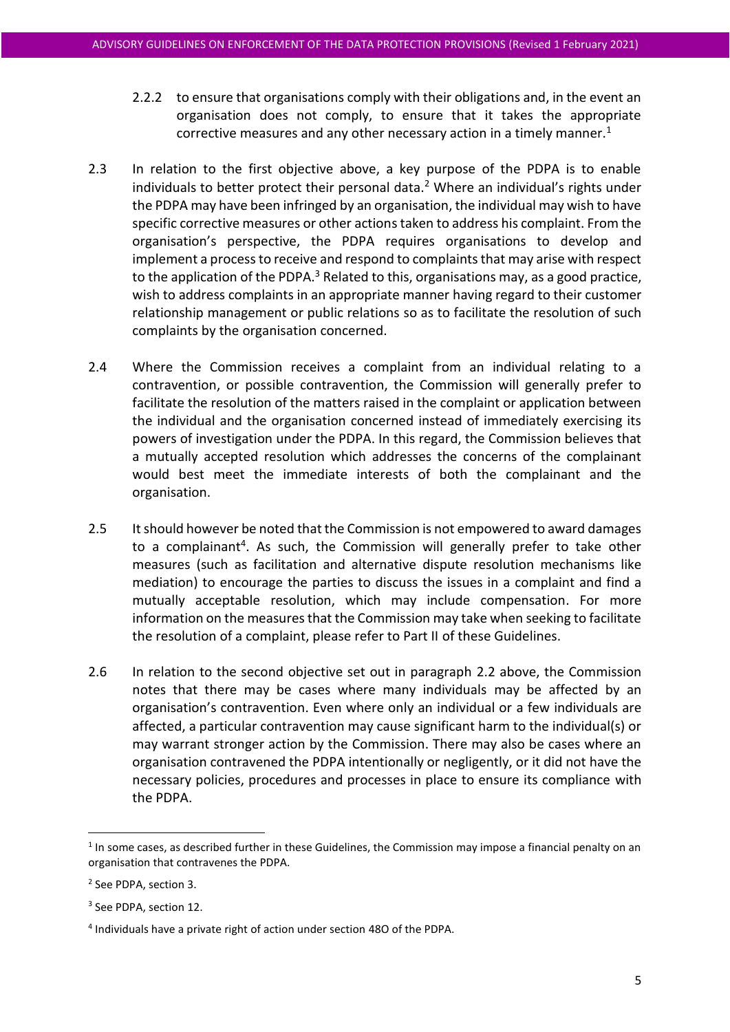- 2.2.2 to ensure that organisations comply with their obligations and, in the event an organisation does not comply, to ensure that it takes the appropriate corrective measures and any other necessary action in a timely manner.<sup>1</sup>
- 2.3 In relation to the first objective above, a key purpose of the PDPA is to enable individuals to better protect their personal data.<sup>2</sup> Where an individual's rights under the PDPA may have been infringed by an organisation, the individual may wish to have specific corrective measures or other actionstaken to address his complaint. From the organisation's perspective, the PDPA requires organisations to develop and implement a process to receive and respond to complaints that may arise with respect to the application of the PDPA. $3$  Related to this, organisations may, as a good practice, wish to address complaints in an appropriate manner having regard to their customer relationship management or public relations so as to facilitate the resolution of such complaints by the organisation concerned.
- 2.4 Where the Commission receives a complaint from an individual relating to a contravention, or possible contravention, the Commission will generally prefer to facilitate the resolution of the matters raised in the complaint or application between the individual and the organisation concerned instead of immediately exercising its powers of investigation under the PDPA. In this regard, the Commission believes that a mutually accepted resolution which addresses the concerns of the complainant would best meet the immediate interests of both the complainant and the organisation.
- 2.5 It should however be noted that the Commission is not empowered to award damages to a complainant<sup>4</sup>. As such, the Commission will generally prefer to take other measures (such as facilitation and alternative dispute resolution mechanisms like mediation) to encourage the parties to discuss the issues in a complaint and find a mutually acceptable resolution, which may include compensation. For more information on the measures that the Commission may take when seeking to facilitate the resolution of a complaint, please refer to Part II of these Guidelines.
- 2.6 In relation to the second objective set out in paragraph [2.2](#page-3-0) above, the Commission notes that there may be cases where many individuals may be affected by an organisation's contravention. Even where only an individual or a few individuals are affected, a particular contravention may cause significant harm to the individual(s) or may warrant stronger action by the Commission. There may also be cases where an organisation contravened the PDPA intentionally or negligently, or it did not have the necessary policies, procedures and processes in place to ensure its compliance with the PDPA.

 $<sup>1</sup>$  In some cases, as described further in these Guidelines, the Commission may impose a financial penalty on an</sup> organisation that contravenes the PDPA.

<sup>2</sup> See PDPA, section 3.

<sup>3</sup> See PDPA, section 12.

<sup>4</sup> Individuals have a private right of action under section 48O of the PDPA.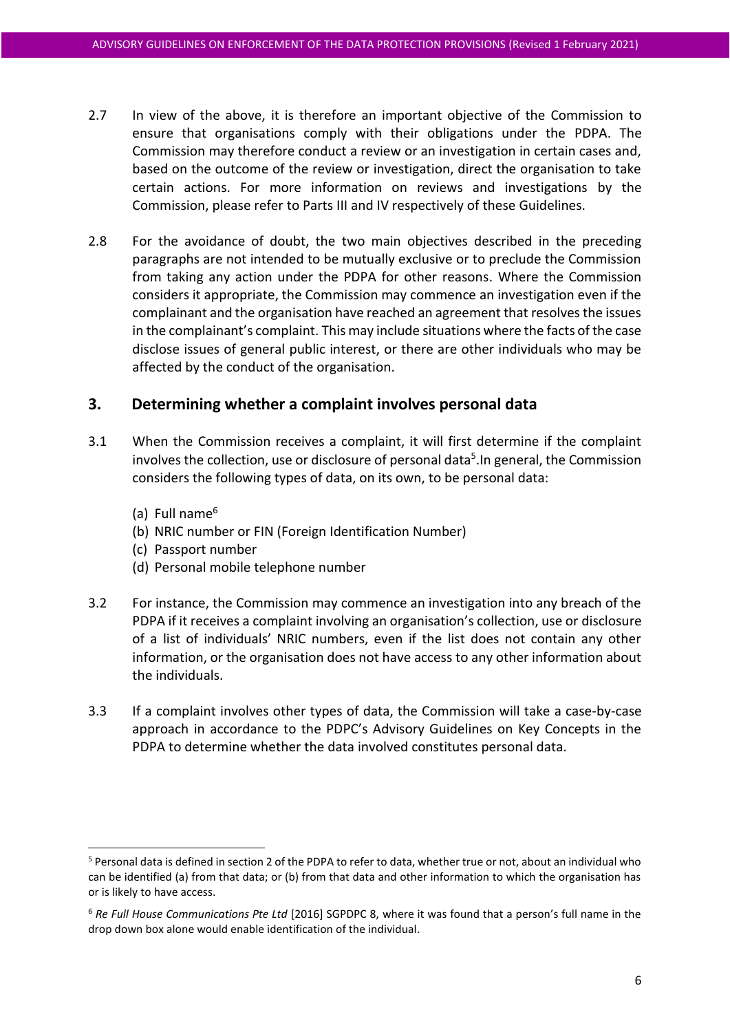- 2.7 In view of the above, it is therefore an important objective of the Commission to ensure that organisations comply with their obligations under the PDPA. The Commission may therefore conduct a review or an investigation in certain cases and, based on the outcome of the review or investigation, direct the organisation to take certain actions. For more information on reviews and investigations by the Commission, please refer to Parts III and IV respectively of these Guidelines.
- 2.8 For the avoidance of doubt, the two main objectives described in the preceding paragraphs are not intended to be mutually exclusive or to preclude the Commission from taking any action under the PDPA for other reasons. Where the Commission considers it appropriate, the Commission may commence an investigation even if the complainant and the organisation have reached an agreement that resolves the issues in the complainant's complaint. This may include situations where the facts of the case disclose issues of general public interest, or there are other individuals who may be affected by the conduct of the organisation.

# **3. Determining whether a complaint involves personal data**

- 3.1 When the Commission receives a complaint, it will first determine if the complaint involves the collection, use or disclosure of personal data<sup>5</sup>. In general, the Commission considers the following types of data, on its own, to be personal data:
	- (a) Full name $<sup>6</sup>$ </sup>
	- (b) NRIC number or FIN (Foreign Identification Number)
	- (c) Passport number
	- (d) Personal mobile telephone number
- 3.2 For instance, the Commission may commence an investigation into any breach of the PDPA if it receives a complaint involving an organisation's collection, use or disclosure of a list of individuals' NRIC numbers, even if the list does not contain any other information, or the organisation does not have access to any other information about the individuals.
- 3.3 If a complaint involves other types of data, the Commission will take a case-by-case approach in accordance to the PDPC's Advisory Guidelines on Key Concepts in the PDPA to determine whether the data involved constitutes personal data.

<sup>5</sup> Personal data is defined in section 2 of the PDPA to refer to data, whether true or not, about an individual who can be identified (a) from that data; or (b) from that data and other information to which the organisation has or is likely to have access.

<sup>6</sup> *Re Full House Communications Pte Ltd* [2016] SGPDPC 8, where it was found that a person's full name in the drop down box alone would enable identification of the individual.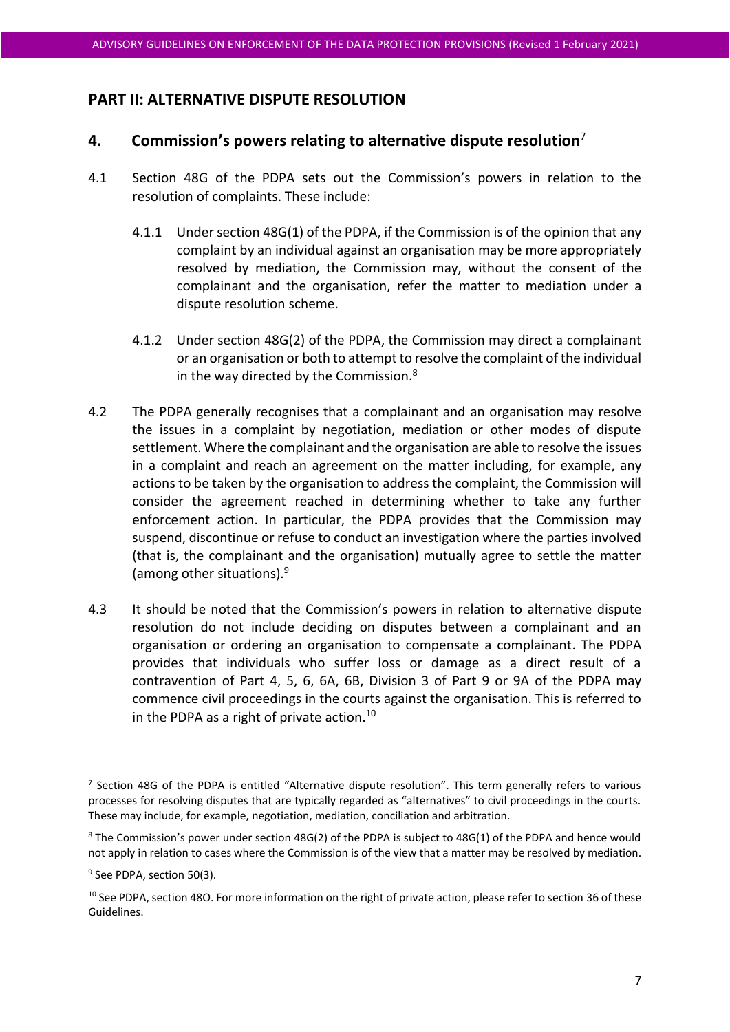# **PART II: ALTERNATIVE DISPUTE RESOLUTION**

# <span id="page-6-0"></span>**4. Commission's powers relating to alternative dispute resolution**<sup>7</sup>

- 4.1 Section 48G of the PDPA sets out the Commission's powers in relation to the resolution of complaints. These include:
	- 4.1.1 Under section 48G(1) of the PDPA, if the Commission is of the opinion that any complaint by an individual against an organisation may be more appropriately resolved by mediation, the Commission may, without the consent of the complainant and the organisation, refer the matter to mediation under a dispute resolution scheme.
	- 4.1.2 Under section 48G(2) of the PDPA, the Commission may direct a complainant or an organisation or both to attempt to resolve the complaint of the individual in the way directed by the Commission.<sup>8</sup>
- 4.2 The PDPA generally recognises that a complainant and an organisation may resolve the issues in a complaint by negotiation, mediation or other modes of dispute settlement. Where the complainant and the organisation are able to resolve the issues in a complaint and reach an agreement on the matter including, for example, any actions to be taken by the organisation to address the complaint, the Commission will consider the agreement reached in determining whether to take any further enforcement action. In particular, the PDPA provides that the Commission may suspend, discontinue or refuse to conduct an investigation where the parties involved (that is, the complainant and the organisation) mutually agree to settle the matter (among other situations).<sup>9</sup>
- 4.3 It should be noted that the Commission's powers in relation to alternative dispute resolution do not include deciding on disputes between a complainant and an organisation or ordering an organisation to compensate a complainant. The PDPA provides that individuals who suffer loss or damage as a direct result of a contravention of Part 4, 5, 6, 6A, 6B, Division 3 of Part 9 or 9A of the PDPA may commence civil proceedings in the courts against the organisation. This is referred to in the PDPA as a right of private action. $10$

<sup>&</sup>lt;sup>7</sup> Section 48G of the PDPA is entitled "Alternative dispute resolution". This term generally refers to various processes for resolving disputes that are typically regarded as "alternatives" to civil proceedings in the courts. These may include, for example, negotiation, mediation, conciliation and arbitration.

<sup>&</sup>lt;sup>8</sup> The Commission's power under section 48G(2) of the PDPA is subject to 48G(1) of the PDPA and hence would not apply in relation to cases where the Commission is of the view that a matter may be resolved by mediation.

<sup>&</sup>lt;sup>9</sup> See PDPA, section 50(3).

<sup>&</sup>lt;sup>10</sup> See PDPA, section 48O. For more information on the right of private action, please refer to section [36](#page-49-0) of these Guidelines.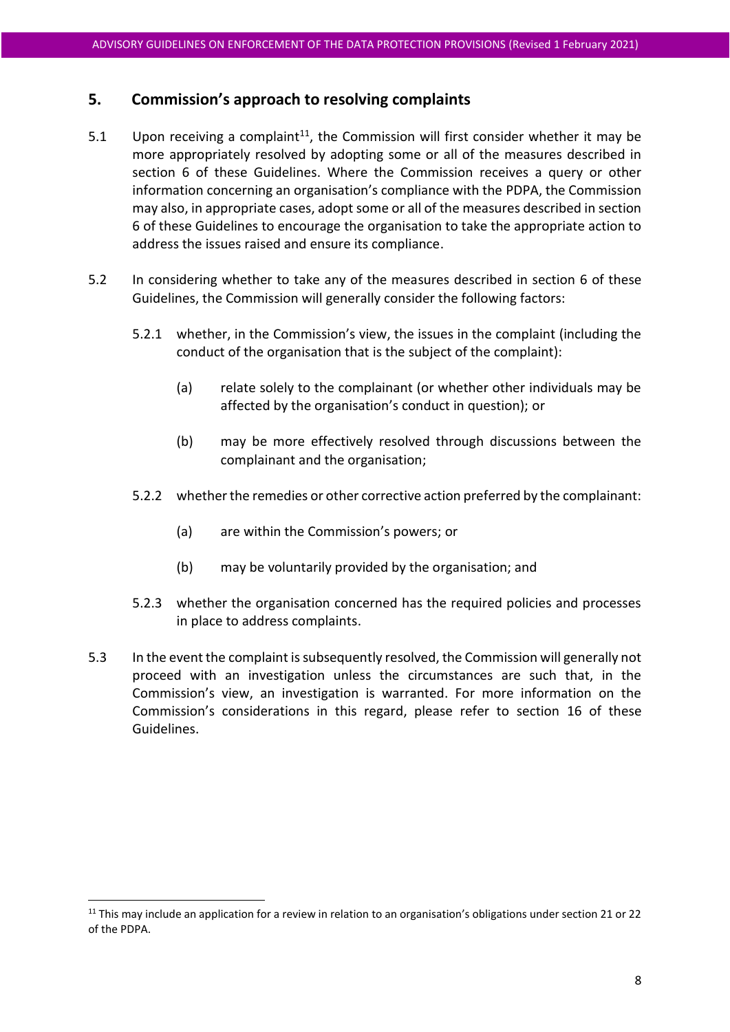# **5. Commission's approach to resolving complaints**

- 5.1 Upon receiving a complaint<sup>11</sup>, the Commission will first consider whether it may be more appropriately resolved by adopting some or all of the measures described in section [6](#page-8-0) of these Guidelines. Where the Commission receives a query or other information concerning an organisation's compliance with the PDPA, the Commission may also, in appropriate cases, adopt some or all of the measures described in section [6](#page-8-0) of these Guidelines to encourage the organisation to take the appropriate action to address the issues raised and ensure its compliance.
- 5.2 In considering whether to take any of the measures described in section [6](#page-8-0) of these Guidelines, the Commission will generally consider the following factors:
	- 5.2.1 whether, in the Commission's view, the issues in the complaint (including the conduct of the organisation that is the subject of the complaint):
		- (a) relate solely to the complainant (or whether other individuals may be affected by the organisation's conduct in question); or
		- (b) may be more effectively resolved through discussions between the complainant and the organisation;
	- 5.2.2 whether the remedies or other corrective action preferred by the complainant:
		- (a) are within the Commission's powers; or
		- (b) may be voluntarily provided by the organisation; and
	- 5.2.3 whether the organisation concerned has the required policies and processes in place to address complaints.
- 5.3 In the event the complaint is subsequently resolved, the Commission will generally not proceed with an investigation unless the circumstances are such that, in the Commission's view, an investigation is warranted. For more information on the Commission's considerations in this regard, please refer to section [16](#page-23-0) of these Guidelines.

 $11$  This may include an application for a review in relation to an organisation's obligations under section 21 or 22 of the PDPA.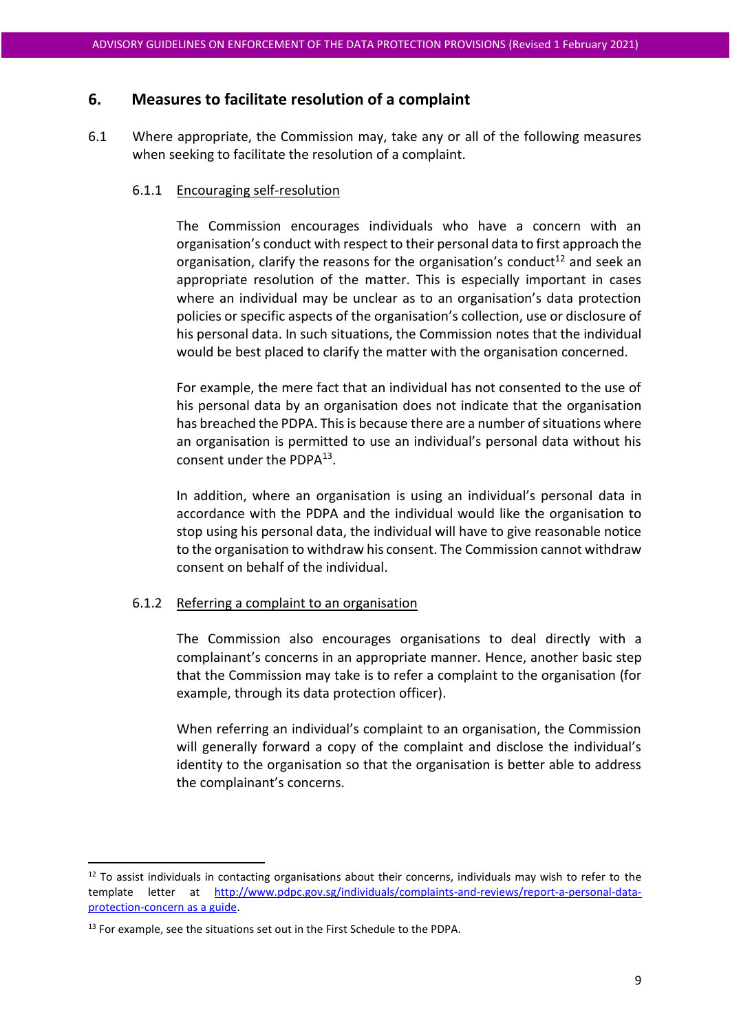# <span id="page-8-0"></span>**6. Measures to facilitate resolution of a complaint**

6.1 Where appropriate, the Commission may, take any or all of the following measures when seeking to facilitate the resolution of a complaint.

#### 6.1.1 Encouraging self-resolution

The Commission encourages individuals who have a concern with an organisation's conduct with respect to their personal data to first approach the organisation, clarify the reasons for the organisation's conduct<sup>12</sup> and seek an appropriate resolution of the matter. This is especially important in cases where an individual may be unclear as to an organisation's data protection policies or specific aspects of the organisation's collection, use or disclosure of his personal data. In such situations, the Commission notes that the individual would be best placed to clarify the matter with the organisation concerned.

For example, the mere fact that an individual has not consented to the use of his personal data by an organisation does not indicate that the organisation has breached the PDPA. This is because there are a number of situations where an organisation is permitted to use an individual's personal data without his consent under the PDPA<sup>13</sup>.

In addition, where an organisation is using an individual's personal data in accordance with the PDPA and the individual would like the organisation to stop using his personal data, the individual will have to give reasonable notice to the organisation to withdraw his consent. The Commission cannot withdraw consent on behalf of the individual.

#### 6.1.2 Referring a complaint to an organisation

The Commission also encourages organisations to deal directly with a complainant's concerns in an appropriate manner. Hence, another basic step that the Commission may take is to refer a complaint to the organisation (for example, through its data protection officer).

When referring an individual's complaint to an organisation, the Commission will generally forward a copy of the complaint and disclose the individual's identity to the organisation so that the organisation is better able to address the complainant's concerns.

<sup>&</sup>lt;sup>12</sup> To assist individuals in contacting organisations about their concerns, individuals may wish to refer to the template letter at [http://www.pdpc.gov.sg/individuals/complaints-and-reviews/report-a-personal-data](http://www.pdpc.gov.sg/individuals/complaints-and-reviews/report-a-personal-data-protection-concern)[protection-concern](http://www.pdpc.gov.sg/individuals/complaints-and-reviews/report-a-personal-data-protection-concern) as a guide.

<sup>&</sup>lt;sup>13</sup> For example, see the situations set out in the First Schedule to the PDPA.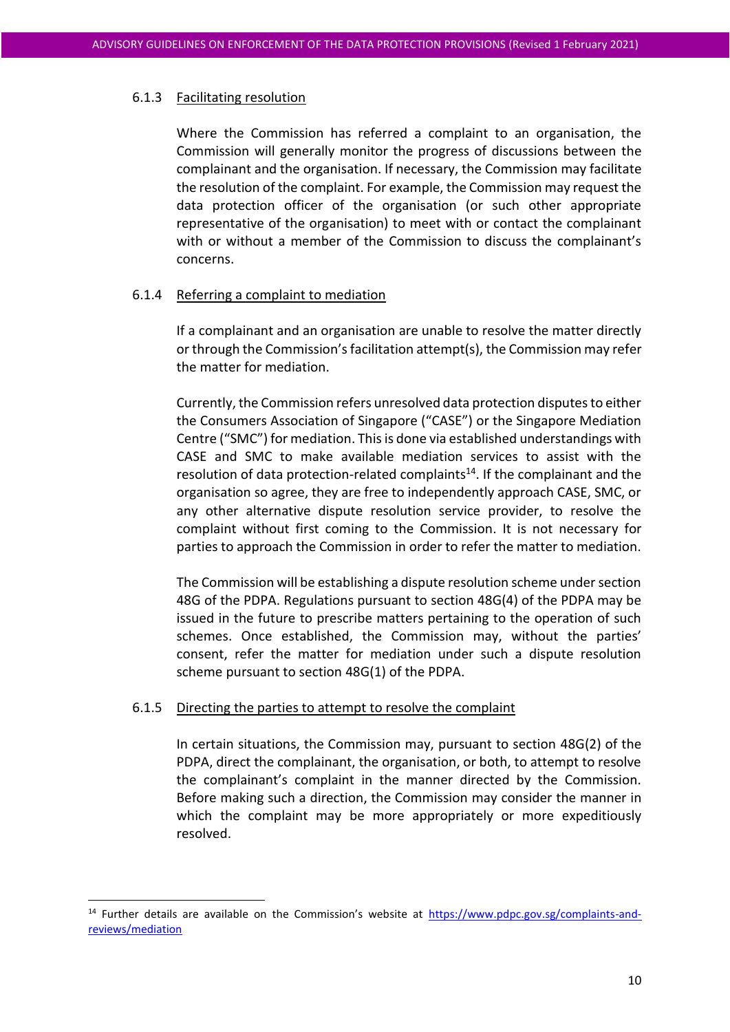#### 6.1.3 Facilitating resolution

Where the Commission has referred a complaint to an organisation, the Commission will generally monitor the progress of discussions between the complainant and the organisation. If necessary, the Commission may facilitate the resolution of the complaint. For example, the Commission may request the data protection officer of the organisation (or such other appropriate representative of the organisation) to meet with or contact the complainant with or without a member of the Commission to discuss the complainant's concerns.

#### 6.1.4 Referring a complaint to mediation

If a complainant and an organisation are unable to resolve the matter directly or through the Commission's facilitation attempt(s), the Commission may refer the matter for mediation.

Currently, the Commission refers unresolved data protection disputes to either the Consumers Association of Singapore ("CASE") or the Singapore Mediation Centre ("SMC") for mediation. This is done via established understandings with CASE and SMC to make available mediation services to assist with the resolution of data protection-related complaints<sup>14</sup>. If the complainant and the organisation so agree, they are free to independently approach CASE, SMC, or any other alternative dispute resolution service provider, to resolve the complaint without first coming to the Commission. It is not necessary for parties to approach the Commission in order to refer the matter to mediation.

The Commission will be establishing a dispute resolution scheme under section 48G of the PDPA. Regulations pursuant to section 48G(4) of the PDPA may be issued in the future to prescribe matters pertaining to the operation of such schemes. Once established, the Commission may, without the parties' consent, refer the matter for mediation under such a dispute resolution scheme pursuant to section 48G(1) of the PDPA.

#### 6.1.5 Directing the parties to attempt to resolve the complaint

In certain situations, the Commission may, pursuant to section 48G(2) of the PDPA, direct the complainant, the organisation, or both, to attempt to resolve the complainant's complaint in the manner directed by the Commission. Before making such a direction, the Commission may consider the manner in which the complaint may be more appropriately or more expeditiously resolved.

<sup>&</sup>lt;sup>14</sup> Further details are available on the Commission's website at [https://www.pdpc.gov.sg/complaints-and](https://www.pdpc.gov.sg/complaints-and-reviews/mediation)[reviews/mediation](https://www.pdpc.gov.sg/complaints-and-reviews/mediation)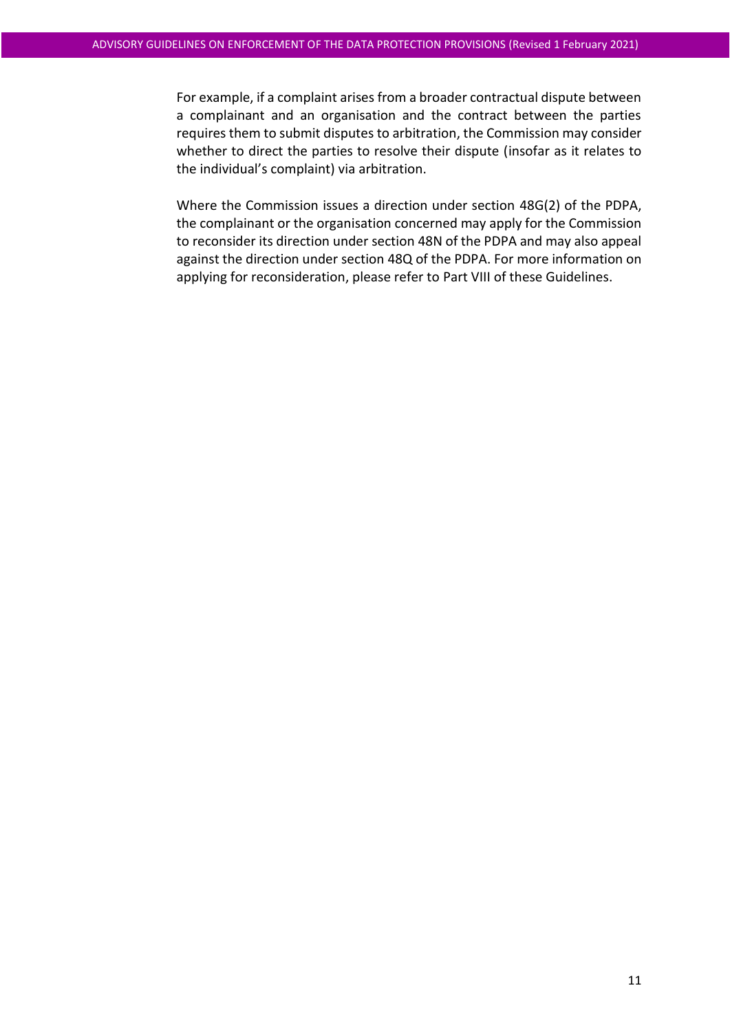For example, if a complaint arises from a broader contractual dispute between a complainant and an organisation and the contract between the parties requires them to submit disputes to arbitration, the Commission may consider whether to direct the parties to resolve their dispute (insofar as it relates to the individual's complaint) via arbitration.

Where the Commission issues a direction under section 48G(2) of the PDPA, the complainant or the organisation concerned may apply for the Commission to reconsider its direction under section 48N of the PDPA and may also appeal against the direction under section 48Q of the PDPA. For more information on applying for reconsideration, please refer to Part VIII of these Guidelines.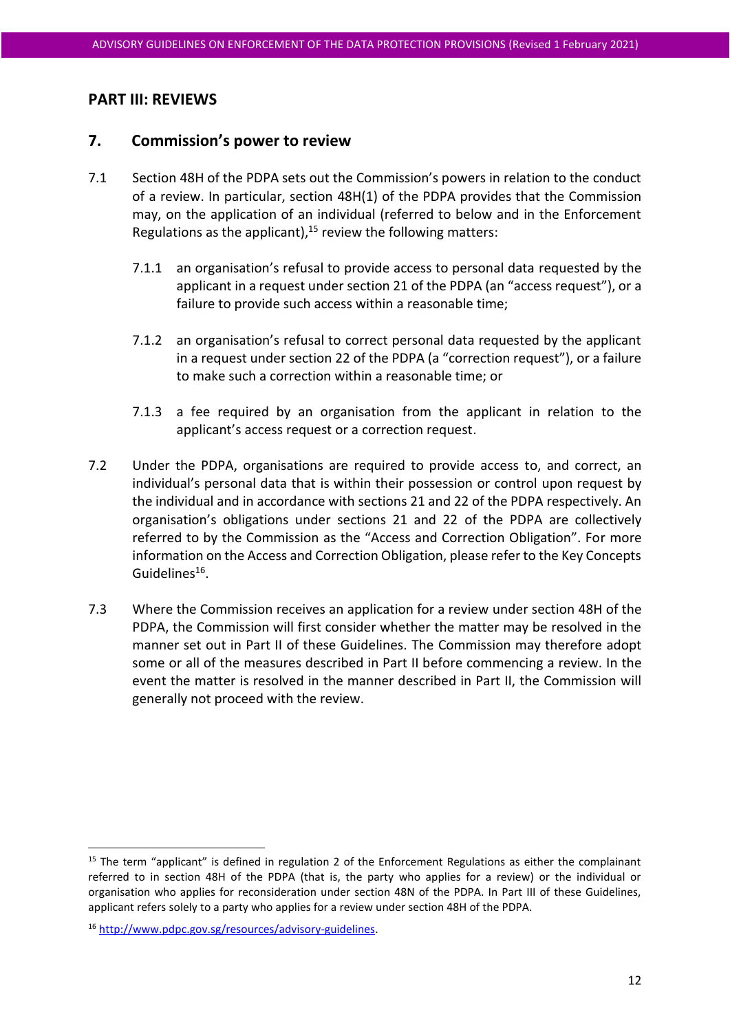# **PART III: REVIEWS**

# <span id="page-11-0"></span>**7. Commission's power to review**

- 7.1 Section 48H of the PDPA sets out the Commission's powers in relation to the conduct of a review. In particular, section 48H(1) of the PDPA provides that the Commission may, on the application of an individual (referred to below and in the Enforcement Regulations as the applicant), $15$  review the following matters:
	- 7.1.1 an organisation's refusal to provide access to personal data requested by the applicant in a request under section 21 of the PDPA (an "access request"), or a failure to provide such access within a reasonable time;
	- 7.1.2 an organisation's refusal to correct personal data requested by the applicant in a request under section 22 of the PDPA (a "correction request"), or a failure to make such a correction within a reasonable time; or
	- 7.1.3 a fee required by an organisation from the applicant in relation to the applicant's access request or a correction request.
- 7.2 Under the PDPA, organisations are required to provide access to, and correct, an individual's personal data that is within their possession or control upon request by the individual and in accordance with sections 21 and 22 of the PDPA respectively. An organisation's obligations under sections 21 and 22 of the PDPA are collectively referred to by the Commission as the "Access and Correction Obligation". For more information on the Access and Correction Obligation, please refer to the Key Concepts Guidelines<sup>16</sup>.
- 7.3 Where the Commission receives an application for a review under section 48H of the PDPA, the Commission will first consider whether the matter may be resolved in the manner set out in Part II of these Guidelines. The Commission may therefore adopt some or all of the measures described in Part II before commencing a review. In the event the matter is resolved in the manner described in Part II, the Commission will generally not proceed with the review.

 $15$  The term "applicant" is defined in regulation 2 of the Enforcement Regulations as either the complainant referred to in section 48H of the PDPA (that is, the party who applies for a review) or the individual or organisation who applies for reconsideration under section 48N of the PDPA. In Part III of these Guidelines, applicant refers solely to a party who applies for a review under section 48H of the PDPA.

<sup>16</sup> [http://www.pdpc.gov.sg/resources/advisory-guidelines.](http://www.pdpc.gov.sg/resources/advisory-guidelines)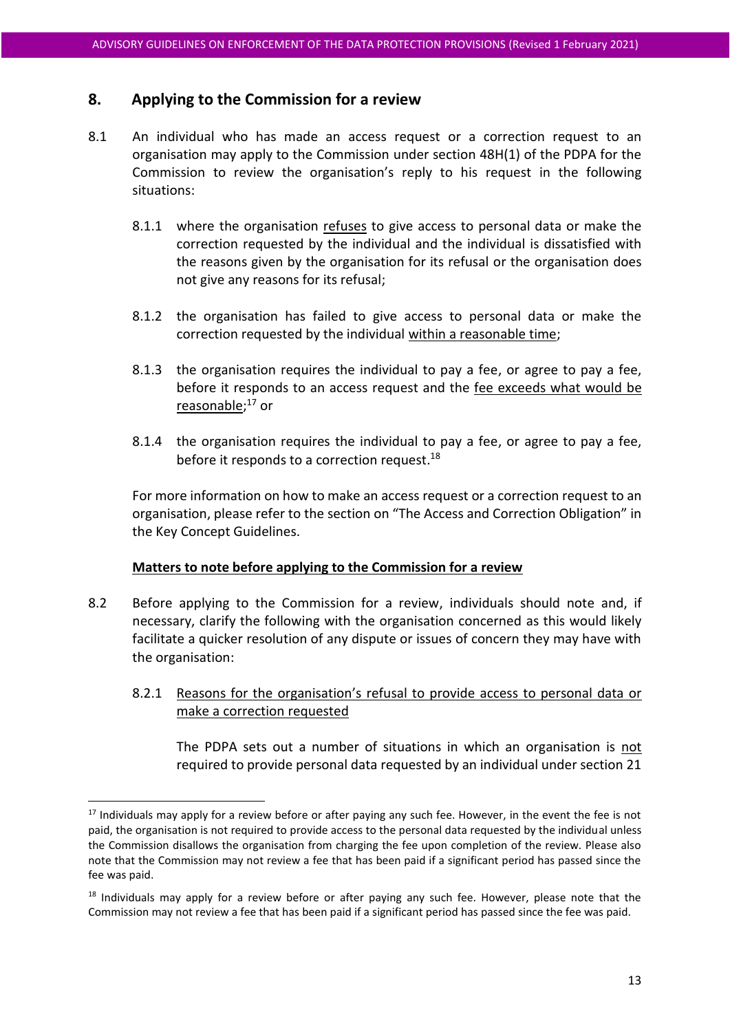# **8. Applying to the Commission for a review**

- 8.1 An individual who has made an access request or a correction request to an organisation may apply to the Commission under section 48H(1) of the PDPA for the Commission to review the organisation's reply to his request in the following situations:
	- 8.1.1 where the organisation refuses to give access to personal data or make the correction requested by the individual and the individual is dissatisfied with the reasons given by the organisation for its refusal or the organisation does not give any reasons for its refusal;
	- 8.1.2 the organisation has failed to give access to personal data or make the correction requested by the individual within a reasonable time;
	- 8.1.3 the organisation requires the individual to pay a fee, or agree to pay a fee, before it responds to an access request and the fee exceeds what would be <u>reasonable</u>;<sup>17</sup> or
	- 8.1.4 the organisation requires the individual to pay a fee, or agree to pay a fee, before it responds to a correction request.<sup>18</sup>

For more information on how to make an access request or a correction request to an organisation, please refer to the section on "The Access and Correction Obligation" in the Key Concept Guidelines.

#### **Matters to note before applying to the Commission for a review**

- 8.2 Before applying to the Commission for a review, individuals should note and, if necessary, clarify the following with the organisation concerned as this would likely facilitate a quicker resolution of any dispute or issues of concern they may have with the organisation:
	- 8.2.1 Reasons for the organisation's refusal to provide access to personal data or make a correction requested

The PDPA sets out a number of situations in which an organisation is not required to provide personal data requested by an individual under section 21

<sup>&</sup>lt;sup>17</sup> Individuals may apply for a review before or after paying any such fee. However, in the event the fee is not paid, the organisation is not required to provide access to the personal data requested by the individual unless the Commission disallows the organisation from charging the fee upon completion of the review. Please also note that the Commission may not review a fee that has been paid if a significant period has passed since the fee was paid.

<sup>&</sup>lt;sup>18</sup> Individuals may apply for a review before or after paying any such fee. However, please note that the Commission may not review a fee that has been paid if a significant period has passed since the fee was paid.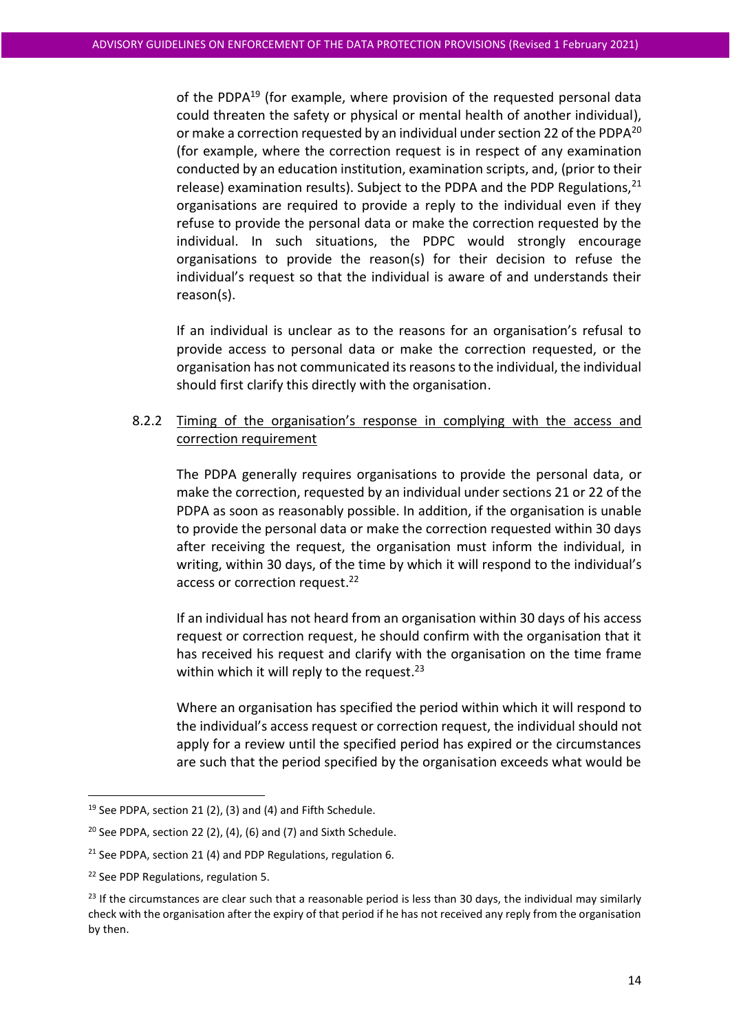of the PDPA<sup>19</sup> (for example, where provision of the requested personal data could threaten the safety or physical or mental health of another individual), or make a correction requested by an individual under section 22 of the PDPA<sup>20</sup> (for example, where the correction request is in respect of any examination conducted by an education institution, examination scripts, and, (prior to their release) examination results). Subject to the PDPA and the PDP Regulations,  $21$ organisations are required to provide a reply to the individual even if they refuse to provide the personal data or make the correction requested by the individual. In such situations, the PDPC would strongly encourage organisations to provide the reason(s) for their decision to refuse the individual's request so that the individual is aware of and understands their reason(s).

If an individual is unclear as to the reasons for an organisation's refusal to provide access to personal data or make the correction requested, or the organisation has not communicated its reasons to the individual, the individual should first clarify this directly with the organisation.

#### 8.2.2 Timing of the organisation's response in complying with the access and correction requirement

The PDPA generally requires organisations to provide the personal data, or make the correction, requested by an individual under sections 21 or 22 of the PDPA as soon as reasonably possible. In addition, if the organisation is unable to provide the personal data or make the correction requested within 30 days after receiving the request, the organisation must inform the individual, in writing, within 30 days, of the time by which it will respond to the individual's access or correction request.<sup>22</sup>

If an individual has not heard from an organisation within 30 days of his access request or correction request, he should confirm with the organisation that it has received his request and clarify with the organisation on the time frame within which it will reply to the request.<sup>23</sup>

Where an organisation has specified the period within which it will respond to the individual's access request or correction request, the individual should not apply for a review until the specified period has expired or the circumstances are such that the period specified by the organisation exceeds what would be

 $19$  See PDPA, section 21 (2), (3) and (4) and Fifth Schedule.

 $20$  See PDPA, section 22 (2), (4), (6) and (7) and Sixth Schedule.

<sup>&</sup>lt;sup>21</sup> See PDPA, section 21 (4) and PDP Regulations, regulation 6.

<sup>22</sup> See PDP Regulations, regulation 5.

 $23$  If the circumstances are clear such that a reasonable period is less than 30 days, the individual may similarly check with the organisation after the expiry of that period if he has not received any reply from the organisation by then.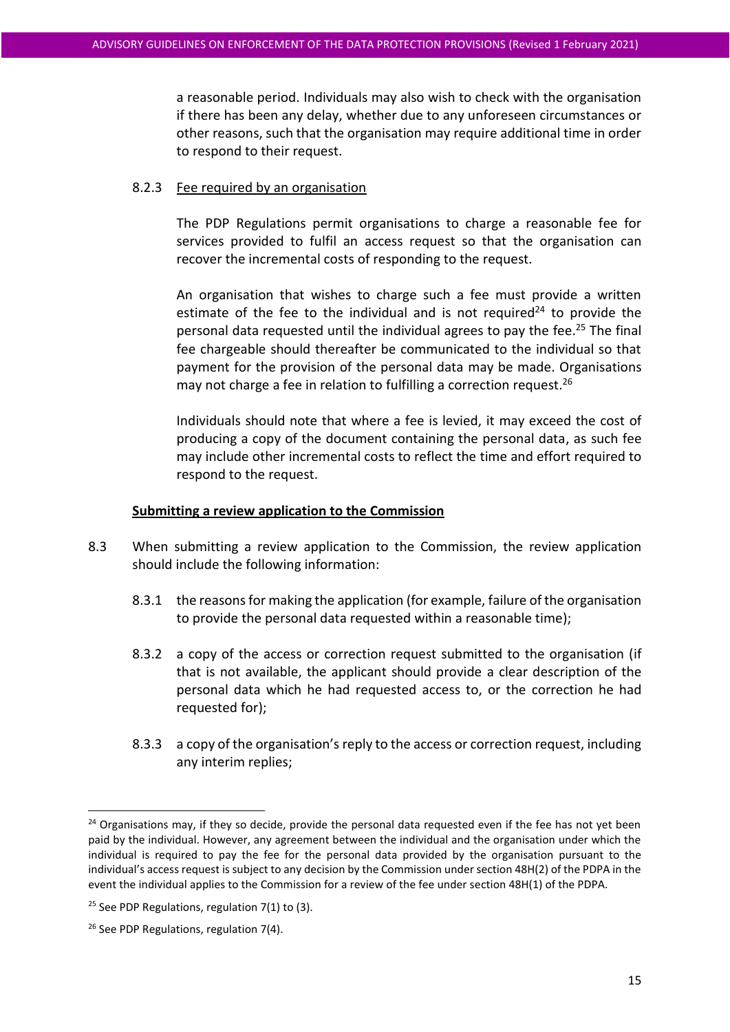a reasonable period. Individuals may also wish to check with the organisation if there has been any delay, whether due to any unforeseen circumstances or other reasons, such that the organisation may require additional time in order to respond to their request.

#### 8.2.3 Fee required by an organisation

The PDP Regulations permit organisations to charge a reasonable fee for services provided to fulfil an access request so that the organisation can recover the incremental costs of responding to the request.

An organisation that wishes to charge such a fee must provide a written estimate of the fee to the individual and is not required<sup>24</sup> to provide the personal data requested until the individual agrees to pay the fee.<sup>25</sup> The final fee chargeable should thereafter be communicated to the individual so that payment for the provision of the personal data may be made. Organisations may not charge a fee in relation to fulfilling a correction request.<sup>26</sup>

Individuals should note that where a fee is levied, it may exceed the cost of producing a copy of the document containing the personal data, as such fee may include other incremental costs to reflect the time and effort required to respond to the request.

#### **Submitting a review application to the Commission**

- 8.3 When submitting a review application to the Commission, the review application should include the following information:
	- 8.3.1 the reasons for making the application (for example, failure of the organisation to provide the personal data requested within a reasonable time);
	- 8.3.2 a copy of the access or correction request submitted to the organisation (if that is not available, the applicant should provide a clear description of the personal data which he had requested access to, or the correction he had requested for);
	- 8.3.3 a copy of the organisation's reply to the access or correction request, including any interim replies;

<sup>&</sup>lt;sup>24</sup> Organisations may, if they so decide, provide the personal data requested even if the fee has not yet been paid by the individual. However, any agreement between the individual and the organisation under which the individual is required to pay the fee for the personal data provided by the organisation pursuant to the individual's access request is subject to any decision by the Commission under section 48H(2) of the PDPA in the event the individual applies to the Commission for a review of the fee under section 48H(1) of the PDPA.

<sup>&</sup>lt;sup>25</sup> See PDP Regulations, regulation  $7(1)$  to  $(3)$ .

<sup>&</sup>lt;sup>26</sup> See PDP Regulations, regulation 7(4).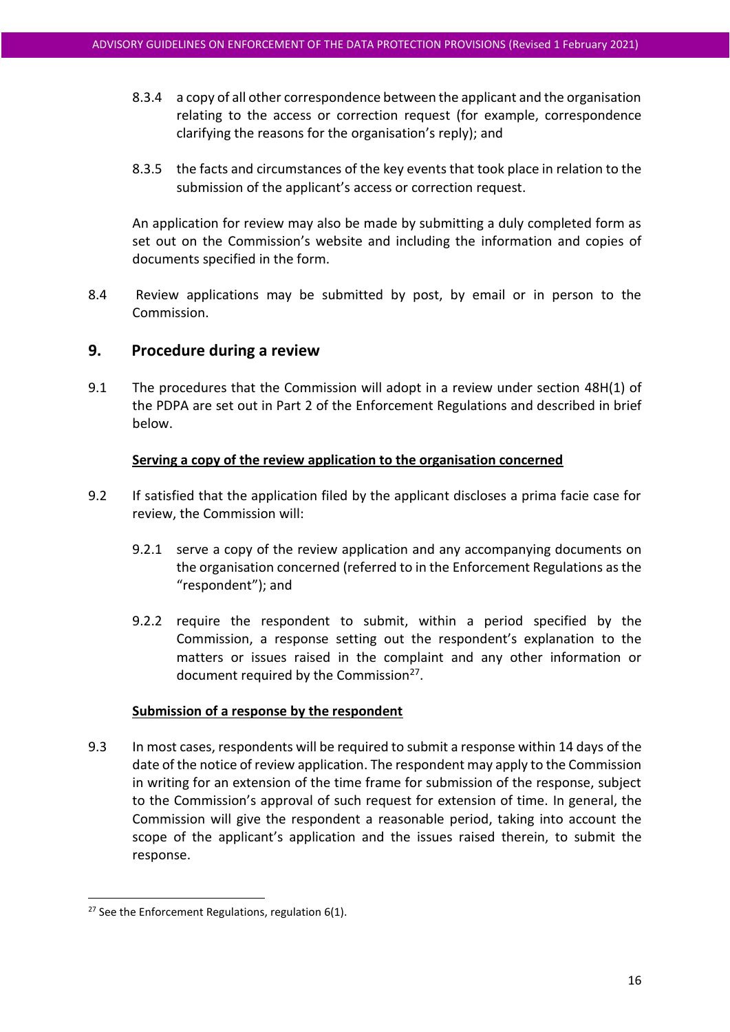- 8.3.4 a copy of all other correspondence between the applicant and the organisation relating to the access or correction request (for example, correspondence clarifying the reasons for the organisation's reply); and
- 8.3.5 the facts and circumstances of the key events that took place in relation to the submission of the applicant's access or correction request.

An application for review may also be made by submitting a duly completed form as set out on the Commission's website and including the information and copies of documents specified in the form.

8.4 Review applications may be submitted by post, by email or in person to the Commission.

# **9. Procedure during a review**

9.1 The procedures that the Commission will adopt in a review under section 48H(1) of the PDPA are set out in Part 2 of the Enforcement Regulations and described in brief below.

#### **Serving a copy of the review application to the organisation concerned**

- 9.2 If satisfied that the application filed by the applicant discloses a prima facie case for review, the Commission will:
	- 9.2.1 serve a copy of the review application and any accompanying documents on the organisation concerned (referred to in the Enforcement Regulations as the "respondent"); and
	- 9.2.2 require the respondent to submit, within a period specified by the Commission, a response setting out the respondent's explanation to the matters or issues raised in the complaint and any other information or document required by the Commission<sup>27</sup>.

#### **Submission of a response by the respondent**

9.3 In most cases, respondents will be required to submit a response within 14 days of the date of the notice of review application. The respondent may apply to the Commission in writing for an extension of the time frame for submission of the response, subject to the Commission's approval of such request for extension of time. In general, the Commission will give the respondent a reasonable period, taking into account the scope of the applicant's application and the issues raised therein, to submit the response.

<sup>&</sup>lt;sup>27</sup> See the Enforcement Regulations, regulation  $6(1)$ .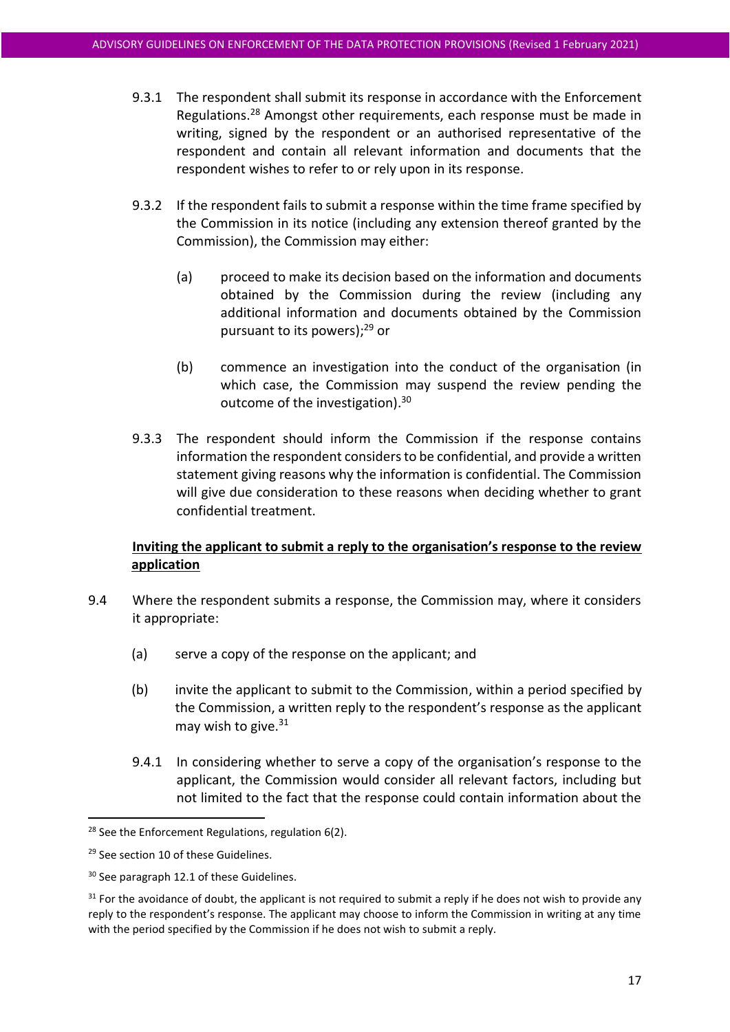- 9.3.1 The respondent shall submit its response in accordance with the Enforcement Regulations.<sup>28</sup> Amongst other requirements, each response must be made in writing, signed by the respondent or an authorised representative of the respondent and contain all relevant information and documents that the respondent wishes to refer to or rely upon in its response.
- 9.3.2 If the respondent fails to submit a response within the time frame specified by the Commission in its notice (including any extension thereof granted by the Commission), the Commission may either:
	- (a) proceed to make its decision based on the information and documents obtained by the Commission during the review (including any additional information and documents obtained by the Commission pursuant to its powers);<sup>29</sup> or
	- (b) commence an investigation into the conduct of the organisation (in which case, the Commission may suspend the review pending the outcome of the investigation).<sup>30</sup>
- 9.3.3 The respondent should inform the Commission if the response contains information the respondent considers to be confidential, and provide a written statement giving reasons why the information is confidential. The Commission will give due consideration to these reasons when deciding whether to grant confidential treatment.

# **Inviting the applicant to submit a reply to the organisation's response to the review application**

- 9.4 Where the respondent submits a response, the Commission may, where it considers it appropriate:
	- (a) serve a copy of the response on the applicant; and
	- (b) invite the applicant to submit to the Commission, within a period specified by the Commission, a written reply to the respondent's response as the applicant may wish to give. $31$
	- 9.4.1 In considering whether to serve a copy of the organisation's response to the applicant, the Commission would consider all relevant factors, including but not limited to the fact that the response could contain information about the

<sup>&</sup>lt;sup>28</sup> See the Enforcement Regulations, regulation 6(2).

<sup>29</sup> See section 10 of these Guidelines.

<sup>&</sup>lt;sup>30</sup> See paragrap[h 12.1](#page-20-0) of these Guidelines.

 $31$  For the avoidance of doubt, the applicant is not required to submit a reply if he does not wish to provide any reply to the respondent's response. The applicant may choose to inform the Commission in writing at any time with the period specified by the Commission if he does not wish to submit a reply.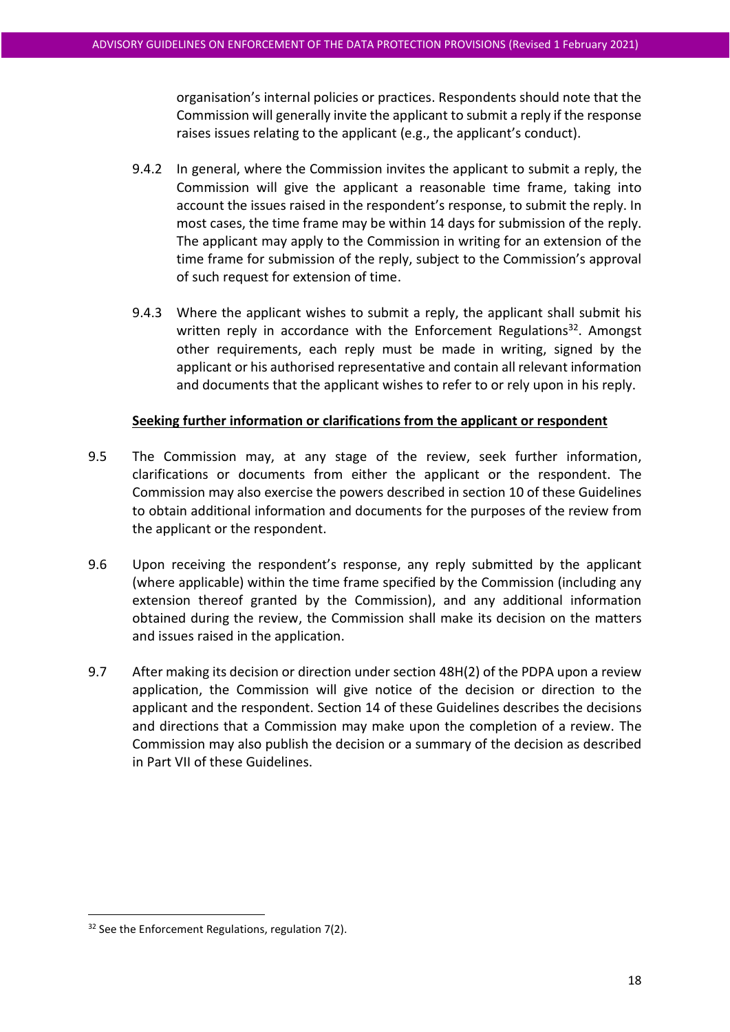organisation's internal policies or practices. Respondents should note that the Commission will generally invite the applicant to submit a reply if the response raises issues relating to the applicant (e.g., the applicant's conduct).

- 9.4.2 In general, where the Commission invites the applicant to submit a reply, the Commission will give the applicant a reasonable time frame, taking into account the issues raised in the respondent's response, to submit the reply. In most cases, the time frame may be within 14 days for submission of the reply. The applicant may apply to the Commission in writing for an extension of the time frame for submission of the reply, subject to the Commission's approval of such request for extension of time.
- 9.4.3 Where the applicant wishes to submit a reply, the applicant shall submit his written reply in accordance with the Enforcement Regulations<sup>32</sup>. Amongst other requirements, each reply must be made in writing, signed by the applicant or his authorised representative and contain all relevant information and documents that the applicant wishes to refer to or rely upon in his reply.

#### **Seeking further information or clarifications from the applicant or respondent**

- 9.5 The Commission may, at any stage of the review, seek further information, clarifications or documents from either the applicant or the respondent. The Commission may also exercise the powers described in section [10](#page-19-0) of these Guidelines to obtain additional information and documents for the purposes of the review from the applicant or the respondent.
- 9.6 Upon receiving the respondent's response, any reply submitted by the applicant (where applicable) within the time frame specified by the Commission (including any extension thereof granted by the Commission), and any additional information obtained during the review, the Commission shall make its decision on the matters and issues raised in the application.
- 9.7 After making its decision or direction under section 48H(2) of the PDPA upon a review application, the Commission will give notice of the decision or direction to the applicant and the respondent. Section [14](#page-20-1) of these Guidelines describes the decisions and directions that a Commission may make upon the completion of a review. The Commission may also publish the decision or a summary of the decision as described in Part VII of these Guidelines.

 $32$  See the Enforcement Regulations, regulation 7(2).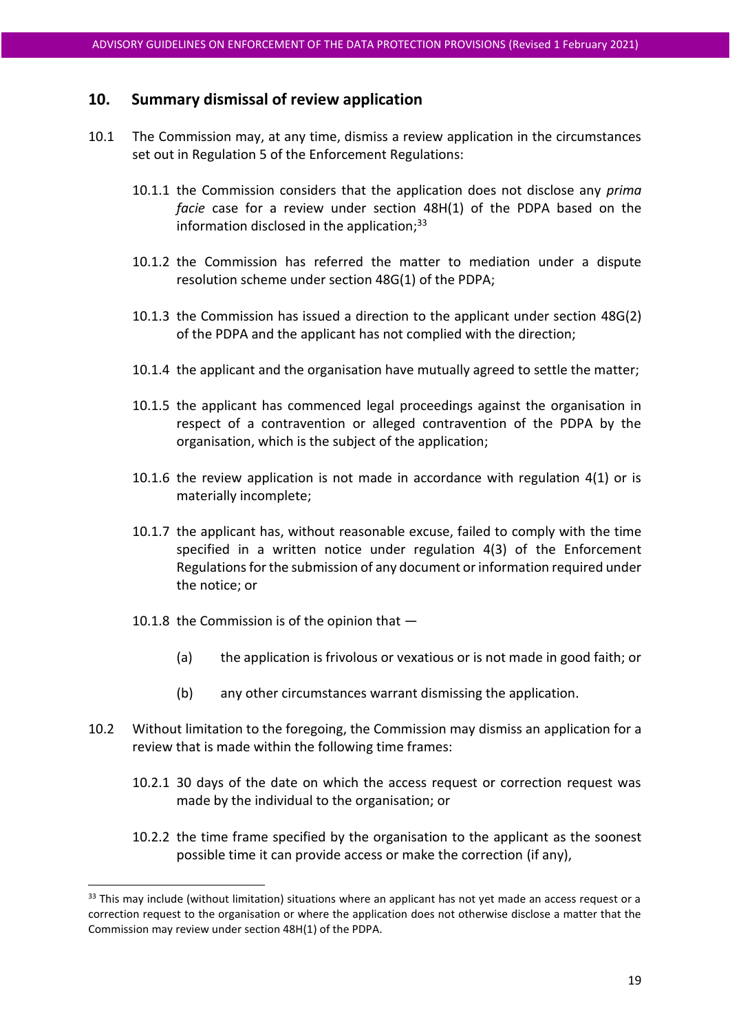## **10. Summary dismissal of review application**

- 10.1 The Commission may, at any time, dismiss a review application in the circumstances set out in Regulation 5 of the Enforcement Regulations:
	- 10.1.1 the Commission considers that the application does not disclose any *prima facie* case for a review under section 48H(1) of the PDPA based on the information disclosed in the application: $33$
	- 10.1.2 the Commission has referred the matter to mediation under a dispute resolution scheme under section 48G(1) of the PDPA;
	- 10.1.3 the Commission has issued a direction to the applicant under section 48G(2) of the PDPA and the applicant has not complied with the direction;
	- 10.1.4 the applicant and the organisation have mutually agreed to settle the matter;
	- 10.1.5 the applicant has commenced legal proceedings against the organisation in respect of a contravention or alleged contravention of the PDPA by the organisation, which is the subject of the application;
	- 10.1.6 the review application is not made in accordance with regulation 4(1) or is materially incomplete;
	- 10.1.7 the applicant has, without reasonable excuse, failed to comply with the time specified in a written notice under regulation 4(3) of the Enforcement Regulations for the submission of any document or information required under the notice; or
	- 10.1.8 the Commission is of the opinion that
		- (a) the application is frivolous or vexatious or is not made in good faith; or
		- (b) any other circumstances warrant dismissing the application.
- 10.2 Without limitation to the foregoing, the Commission may dismiss an application for a review that is made within the following time frames:
	- 10.2.1 30 days of the date on which the access request or correction request was made by the individual to the organisation; or
	- 10.2.2 the time frame specified by the organisation to the applicant as the soonest possible time it can provide access or make the correction (if any),

<sup>&</sup>lt;sup>33</sup> This may include (without limitation) situations where an applicant has not yet made an access request or a correction request to the organisation or where the application does not otherwise disclose a matter that the Commission may review under section 48H(1) of the PDPA.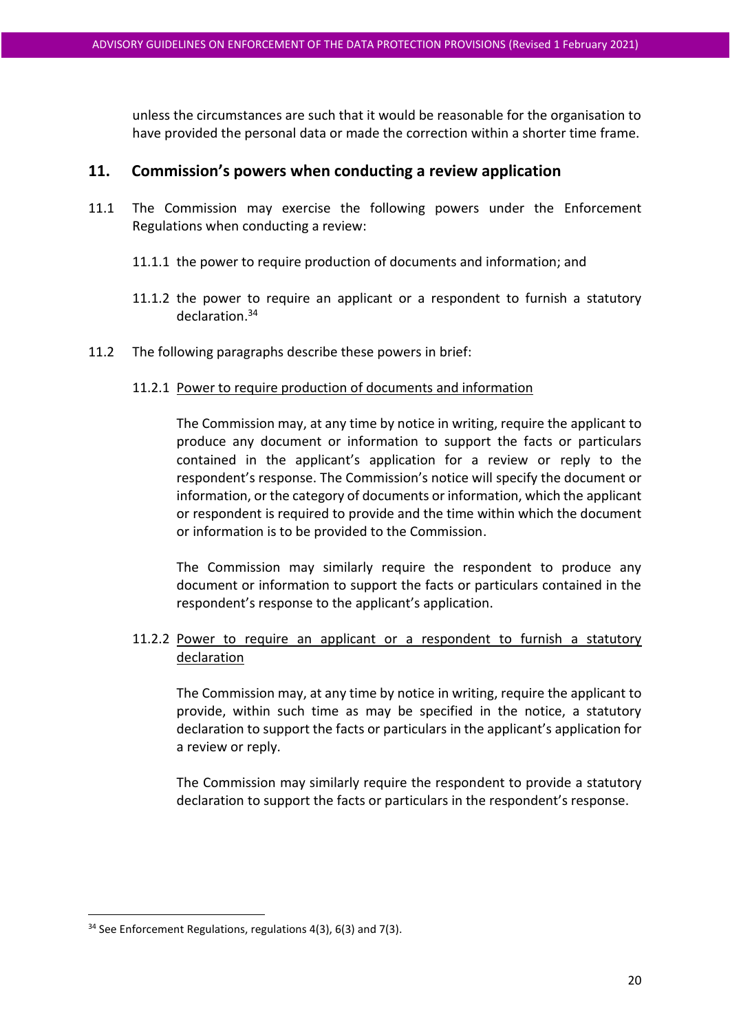unless the circumstances are such that it would be reasonable for the organisation to have provided the personal data or made the correction within a shorter time frame.

# <span id="page-19-0"></span>**11. Commission's powers when conducting a review application**

- 11.1 The Commission may exercise the following powers under the Enforcement Regulations when conducting a review:
	- 11.1.1 the power to require production of documents and information; and
	- 11.1.2 the power to require an applicant or a respondent to furnish a statutory declaration. 34
- 11.2 The following paragraphs describe these powers in brief:

#### 11.2.1 Power to require production of documents and information

The Commission may, at any time by notice in writing, require the applicant to produce any document or information to support the facts or particulars contained in the applicant's application for a review or reply to the respondent's response. The Commission's notice will specify the document or information, or the category of documents or information, which the applicant or respondent is required to provide and the time within which the document or information is to be provided to the Commission.

The Commission may similarly require the respondent to produce any document or information to support the facts or particulars contained in the respondent's response to the applicant's application.

# <span id="page-19-1"></span>11.2.2 Power to require an applicant or a respondent to furnish a statutory declaration

The Commission may, at any time by notice in writing, require the applicant to provide, within such time as may be specified in the notice, a statutory declaration to support the facts or particulars in the applicant's application for a review or reply.

The Commission may similarly require the respondent to provide a statutory declaration to support the facts or particulars in the respondent's response.

<sup>&</sup>lt;sup>34</sup> See Enforcement Regulations, regulations 4(3), 6(3) and 7(3).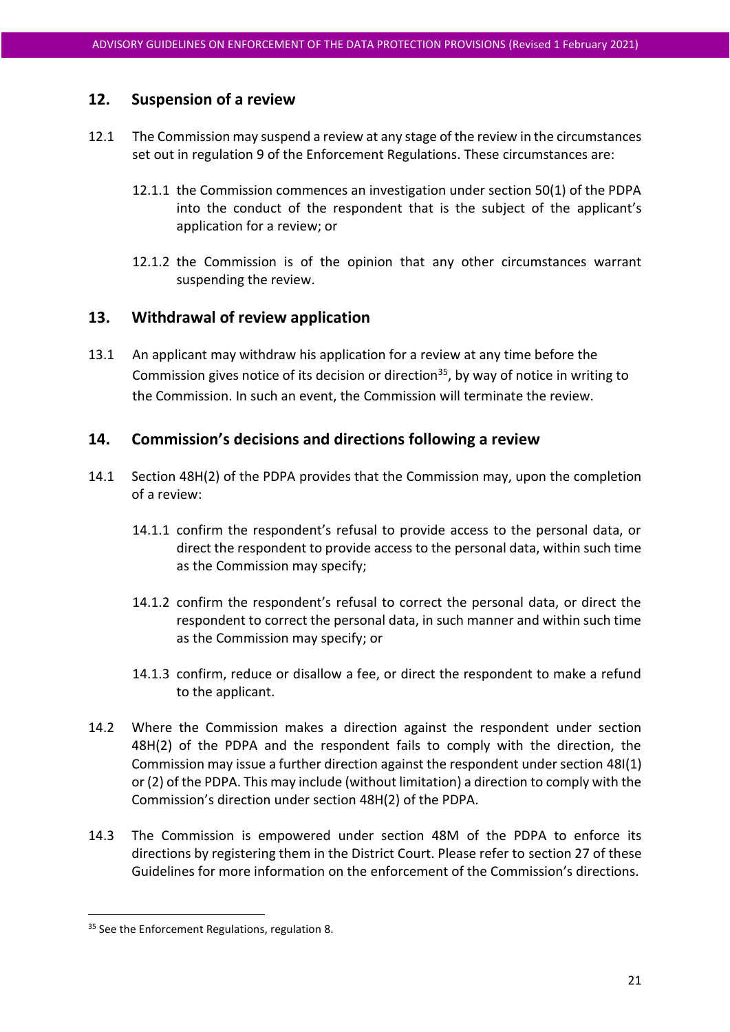# **12. Suspension of a review**

- <span id="page-20-0"></span>12.1 The Commission may suspend a review at any stage of the review in the circumstances set out in regulation 9 of the Enforcement Regulations. These circumstances are:
	- 12.1.1 the Commission commences an investigation under section 50(1) of the PDPA into the conduct of the respondent that is the subject of the applicant's application for a review; or
	- 12.1.2 the Commission is of the opinion that any other circumstances warrant suspending the review.

# **13. Withdrawal of review application**

13.1 An applicant may withdraw his application for a review at any time before the Commission gives notice of its decision or direction<sup>35</sup>, by way of notice in writing to the Commission. In such an event, the Commission will terminate the review.

# <span id="page-20-1"></span>**14. Commission's decisions and directions following a review**

- 14.1 Section 48H(2) of the PDPA provides that the Commission may, upon the completion of a review:
	- 14.1.1 confirm the respondent's refusal to provide access to the personal data, or direct the respondent to provide access to the personal data, within such time as the Commission may specify;
	- 14.1.2 confirm the respondent's refusal to correct the personal data, or direct the respondent to correct the personal data, in such manner and within such time as the Commission may specify; or
	- 14.1.3 confirm, reduce or disallow a fee, or direct the respondent to make a refund to the applicant.
- 14.2 Where the Commission makes a direction against the respondent under section 48H(2) of the PDPA and the respondent fails to comply with the direction, the Commission may issue a further direction against the respondent under section 48I(1) or (2) of the PDPA. This may include (without limitation) a direction to comply with the Commission's direction under section 48H(2) of the PDPA.
- 14.3 The Commission is empowered under section 48M of the PDPA to enforce its directions by registering them in the District Court. Please refer to section 27 of these Guidelines for more information on the enforcement of the Commission's directions.

<sup>&</sup>lt;sup>35</sup> See the Enforcement Regulations, regulation 8.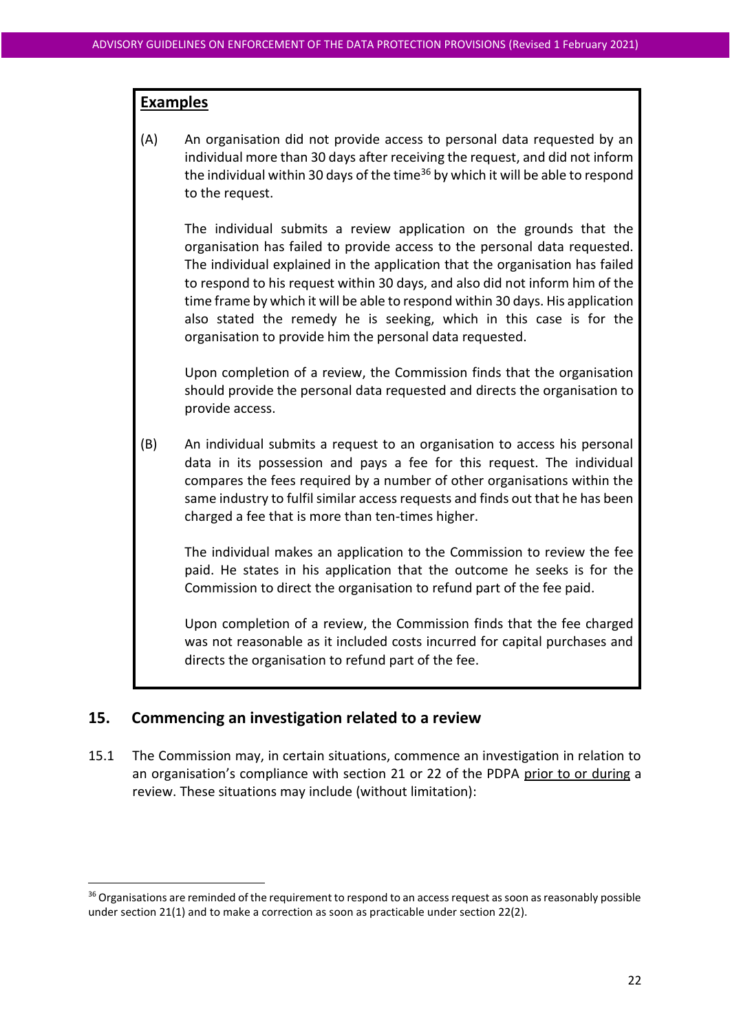#### **Examples**

(A) An organisation did not provide access to personal data requested by an individual more than 30 days after receiving the request, and did not inform the individual within 30 days of the time<sup>36</sup> by which it will be able to respond to the request.

The individual submits a review application on the grounds that the organisation has failed to provide access to the personal data requested. The individual explained in the application that the organisation has failed to respond to his request within 30 days, and also did not inform him of the time frame by which it will be able to respond within 30 days. His application also stated the remedy he is seeking, which in this case is for the organisation to provide him the personal data requested.

Upon completion of a review, the Commission finds that the organisation should provide the personal data requested and directs the organisation to provide access.

(B) An individual submits a request to an organisation to access his personal data in its possession and pays a fee for this request. The individual compares the fees required by a number of other organisations within the same industry to fulfil similar access requests and finds out that he has been charged a fee that is more than ten-times higher.

The individual makes an application to the Commission to review the fee paid. He states in his application that the outcome he seeks is for the Commission to direct the organisation to refund part of the fee paid.

Upon completion of a review, the Commission finds that the fee charged was not reasonable as it included costs incurred for capital purchases and directs the organisation to refund part of the fee.

#### <span id="page-21-0"></span>**15. Commencing an investigation related to a review**

15.1 The Commission may, in certain situations, commence an investigation in relation to an organisation's compliance with section 21 or 22 of the PDPA prior to or during a review. These situations may include (without limitation):

<sup>&</sup>lt;sup>36</sup> Organisations are reminded of the requirement to respond to an access request as soon as reasonably possible under section 21(1) and to make a correction as soon as practicable under section 22(2).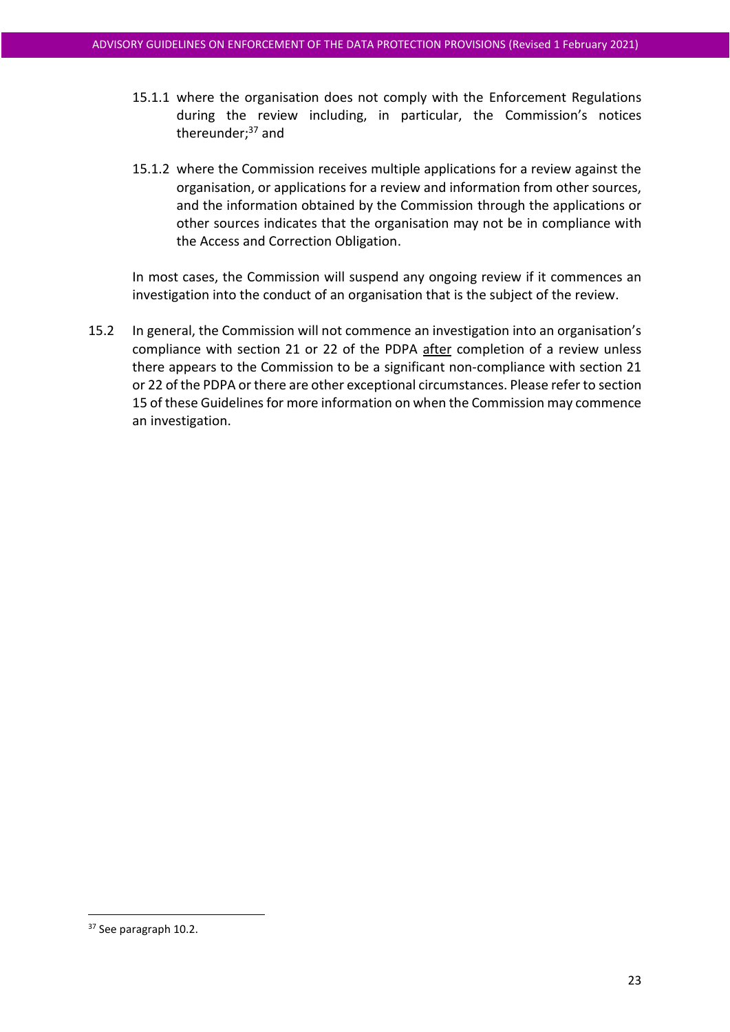- 15.1.1 where the organisation does not comply with the Enforcement Regulations during the review including, in particular, the Commission's notices thereunder: $37$  and
- 15.1.2 where the Commission receives multiple applications for a review against the organisation, or applications for a review and information from other sources, and the information obtained by the Commission through the applications or other sources indicates that the organisation may not be in compliance with the Access and Correction Obligation.

In most cases, the Commission will suspend any ongoing review if it commences an investigation into the conduct of an organisation that is the subject of the review.

15.2 In general, the Commission will not commence an investigation into an organisation's compliance with section 21 or 22 of the PDPA after completion of a review unless there appears to the Commission to be a significant non-compliance with section 21 or 22 of the PDPA or there are other exceptional circumstances. Please refer to section 15 of these Guidelines for more information on when the Commission may commence an investigation.

<sup>&</sup>lt;sup>37</sup> See paragraph 10.2.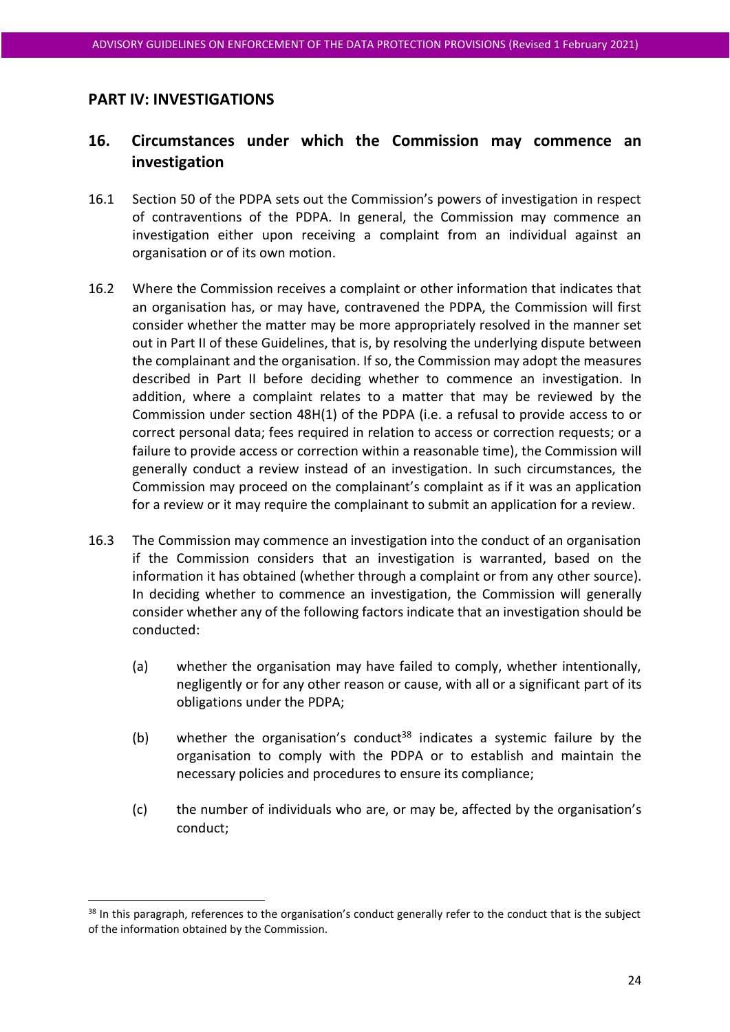# **PART IV: INVESTIGATIONS**

# <span id="page-23-0"></span>**16. Circumstances under which the Commission may commence an investigation**

- 16.1 Section 50 of the PDPA sets out the Commission's powers of investigation in respect of contraventions of the PDPA. In general, the Commission may commence an investigation either upon receiving a complaint from an individual against an organisation or of its own motion.
- 16.2 Where the Commission receives a complaint or other information that indicates that an organisation has, or may have, contravened the PDPA, the Commission will first consider whether the matter may be more appropriately resolved in the manner set out in Part II of these Guidelines, that is, by resolving the underlying dispute between the complainant and the organisation. If so, the Commission may adopt the measures described in Part II before deciding whether to commence an investigation. In addition, where a complaint relates to a matter that may be reviewed by the Commission under section 48H(1) of the PDPA (i.e. a refusal to provide access to or correct personal data; fees required in relation to access or correction requests; or a failure to provide access or correction within a reasonable time), the Commission will generally conduct a review instead of an investigation. In such circumstances, the Commission may proceed on the complainant's complaint as if it was an application for a review or it may require the complainant to submit an application for a review.
- <span id="page-23-1"></span>16.3 The Commission may commence an investigation into the conduct of an organisation if the Commission considers that an investigation is warranted, based on the information it has obtained (whether through a complaint or from any other source). In deciding whether to commence an investigation, the Commission will generally consider whether any of the following factors indicate that an investigation should be conducted:
	- (a) whether the organisation may have failed to comply, whether intentionally, negligently or for any other reason or cause, with all or a significant part of its obligations under the PDPA;
	- (b) whether the organisation's conduct<sup>38</sup> indicates a systemic failure by the organisation to comply with the PDPA or to establish and maintain the necessary policies and procedures to ensure its compliance;
	- (c) the number of individuals who are, or may be, affected by the organisation's conduct;

<sup>&</sup>lt;sup>38</sup> In this paragraph, references to the organisation's conduct generally refer to the conduct that is the subject of the information obtained by the Commission.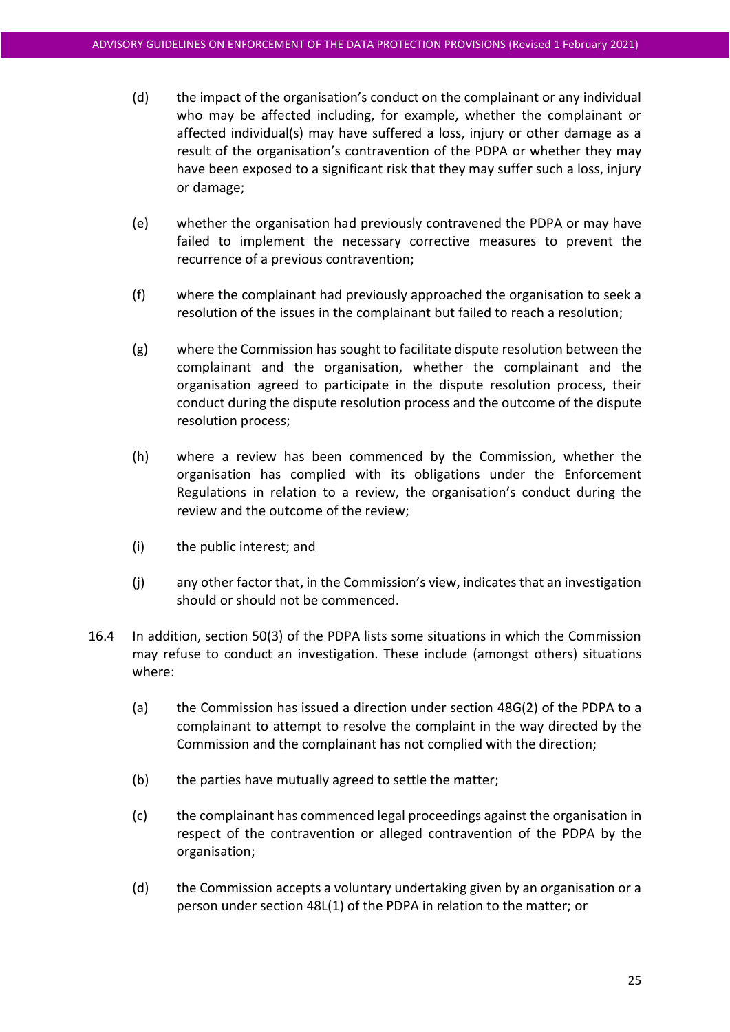- (d) the impact of the organisation's conduct on the complainant or any individual who may be affected including, for example, whether the complainant or affected individual(s) may have suffered a loss, injury or other damage as a result of the organisation's contravention of the PDPA or whether they may have been exposed to a significant risk that they may suffer such a loss, injury or damage;
- (e) whether the organisation had previously contravened the PDPA or may have failed to implement the necessary corrective measures to prevent the recurrence of a previous contravention;
- (f) where the complainant had previously approached the organisation to seek a resolution of the issues in the complainant but failed to reach a resolution;
- (g) where the Commission has sought to facilitate dispute resolution between the complainant and the organisation, whether the complainant and the organisation agreed to participate in the dispute resolution process, their conduct during the dispute resolution process and the outcome of the dispute resolution process;
- (h) where a review has been commenced by the Commission, whether the organisation has complied with its obligations under the Enforcement Regulations in relation to a review, the organisation's conduct during the review and the outcome of the review;
- (i) the public interest; and
- (j) any other factor that, in the Commission's view, indicates that an investigation should or should not be commenced.
- <span id="page-24-1"></span><span id="page-24-0"></span>16.4 In addition, section 50(3) of the PDPA lists some situations in which the Commission may refuse to conduct an investigation. These include (amongst others) situations where:
	- (a) the Commission has issued a direction under section 48G(2) of the PDPA to a complainant to attempt to resolve the complaint in the way directed by the Commission and the complainant has not complied with the direction;
	- (b) the parties have mutually agreed to settle the matter;
	- (c) the complainant has commenced legal proceedings against the organisation in respect of the contravention or alleged contravention of the PDPA by the organisation;
	- (d) the Commission accepts a voluntary undertaking given by an organisation or a person under section 48L(1) of the PDPA in relation to the matter; or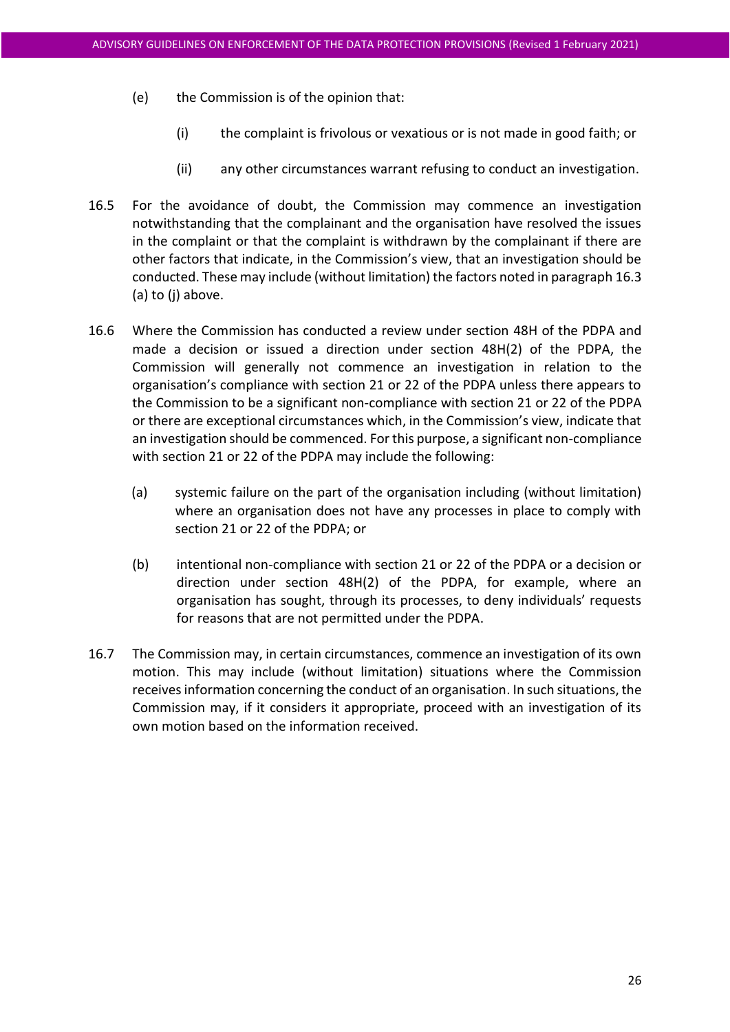- <span id="page-25-0"></span>(e) the Commission is of the opinion that:
	- (i) the complaint is frivolous or vexatious or is not made in good faith; or
	- (ii) any other circumstances warrant refusing to conduct an investigation.
- 16.5 For the avoidance of doubt, the Commission may commence an investigation notwithstanding that the complainant and the organisation have resolved the issues in the complaint or that the complaint is withdrawn by the complainant if there are other factors that indicate, in the Commission's view, that an investigation should be conducted. These may include (without limitation) the factors noted in paragraph [16.3](#page-23-1) (a) to (j) above.
- 16.6 Where the Commission has conducted a review under section 48H of the PDPA and made a decision or issued a direction under section 48H(2) of the PDPA, the Commission will generally not commence an investigation in relation to the organisation's compliance with section 21 or 22 of the PDPA unless there appears to the Commission to be a significant non-compliance with section 21 or 22 of the PDPA or there are exceptional circumstances which, in the Commission's view, indicate that an investigation should be commenced. For this purpose, a significant non-compliance with section 21 or 22 of the PDPA may include the following:
	- (a) systemic failure on the part of the organisation including (without limitation) where an organisation does not have any processes in place to comply with section 21 or 22 of the PDPA; or
	- (b) intentional non-compliance with section 21 or 22 of the PDPA or a decision or direction under section 48H(2) of the PDPA, for example, where an organisation has sought, through its processes, to deny individuals' requests for reasons that are not permitted under the PDPA.
- 16.7 The Commission may, in certain circumstances, commence an investigation of its own motion. This may include (without limitation) situations where the Commission receives information concerning the conduct of an organisation. In such situations, the Commission may, if it considers it appropriate, proceed with an investigation of its own motion based on the information received.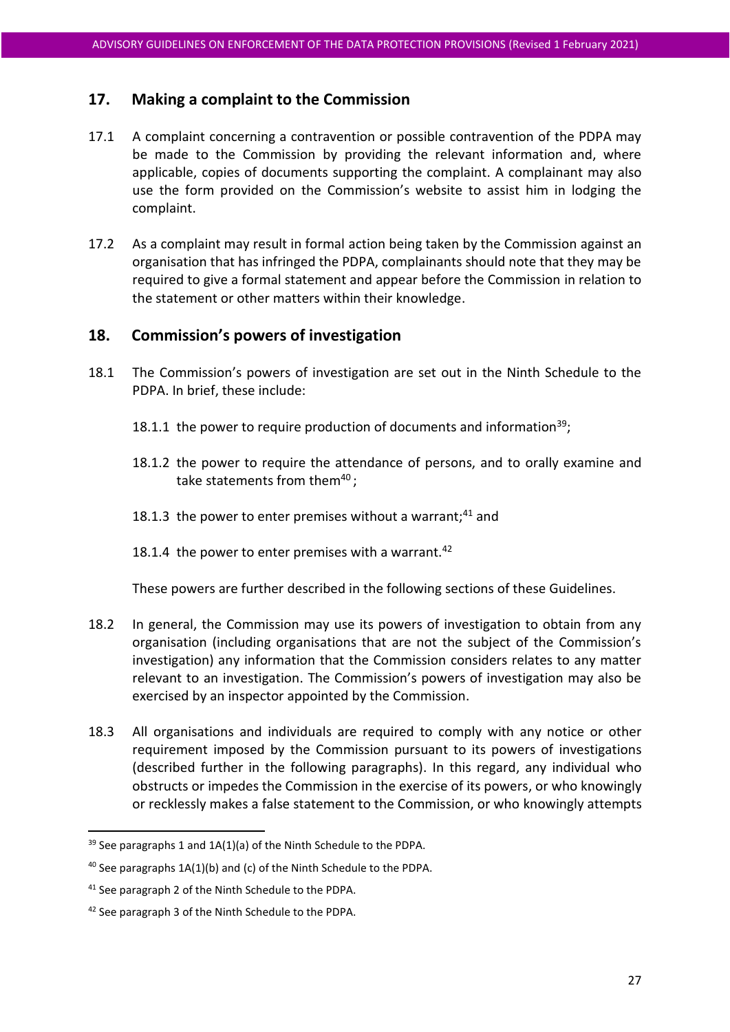# **17. Making a complaint to the Commission**

- 17.1 A complaint concerning a contravention or possible contravention of the PDPA may be made to the Commission by providing the relevant information and, where applicable, copies of documents supporting the complaint. A complainant may also use the form provided on the Commission's website to assist him in lodging the complaint.
- 17.2 As a complaint may result in formal action being taken by the Commission against an organisation that has infringed the PDPA, complainants should note that they may be required to give a formal statement and appear before the Commission in relation to the statement or other matters within their knowledge.

# **18. Commission's powers of investigation**

- 18.1 The Commission's powers of investigation are set out in the Ninth Schedule to the PDPA. In brief, these include:
	- 18.1.1 the power to require production of documents and information<sup>39</sup>;
	- 18.1.2 the power to require the attendance of persons, and to orally examine and take statements from them<sup>40</sup>;
	- 18.1.3 the power to enter premises without a warrant; $41$  and
	- 18.1.4 the power to enter premises with a warrant.<sup>42</sup>

These powers are further described in the following sections of these Guidelines.

- 18.2 In general, the Commission may use its powers of investigation to obtain from any organisation (including organisations that are not the subject of the Commission's investigation) any information that the Commission considers relates to any matter relevant to an investigation. The Commission's powers of investigation may also be exercised by an inspector appointed by the Commission.
- <span id="page-26-0"></span>18.3 All organisations and individuals are required to comply with any notice or other requirement imposed by the Commission pursuant to its powers of investigations (described further in the following paragraphs). In this regard, any individual who obstructs or impedes the Commission in the exercise of its powers, or who knowingly or recklessly makes a false statement to the Commission, or who knowingly attempts

 $39$  See paragraphs 1 and 1A(1)(a) of the Ninth Schedule to the PDPA.

<sup>40</sup> See paragraphs 1A(1)(b) and (c) of the Ninth Schedule to the PDPA.

<sup>&</sup>lt;sup>41</sup> See paragraph 2 of the Ninth Schedule to the PDPA.

<sup>42</sup> See paragraph 3 of the Ninth Schedule to the PDPA.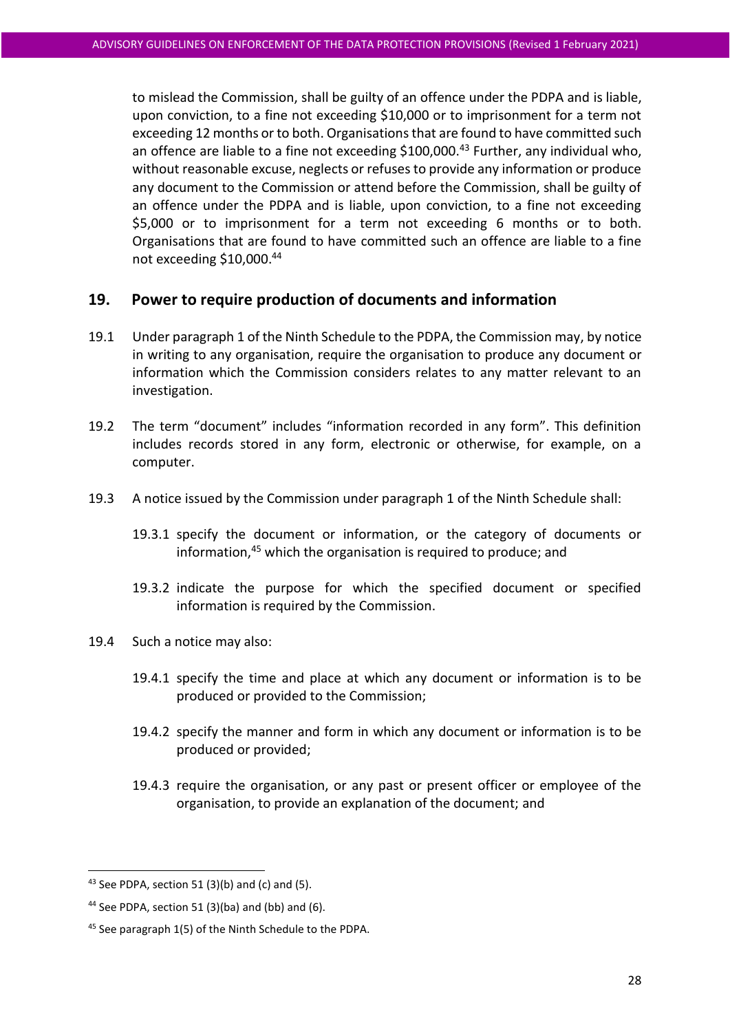to mislead the Commission, shall be guilty of an offence under the PDPA and is liable, upon conviction, to a fine not exceeding \$10,000 or to imprisonment for a term not exceeding 12 months or to both. Organisations that are found to have committed such an offence are liable to a fine not exceeding  $$100,000.<sup>43</sup>$  Further, any individual who, without reasonable excuse, neglects or refuses to provide any information or produce any document to the Commission or attend before the Commission, shall be guilty of an offence under the PDPA and is liable, upon conviction, to a fine not exceeding \$5,000 or to imprisonment for a term not exceeding 6 months or to both. Organisations that are found to have committed such an offence are liable to a fine not exceeding \$10,000. 44

# **19. Power to require production of documents and information**

- 19.1 Under paragraph 1 of the Ninth Schedule to the PDPA, the Commission may, by notice in writing to any organisation, require the organisation to produce any document or information which the Commission considers relates to any matter relevant to an investigation.
- 19.2 The term "document" includes "information recorded in any form". This definition includes records stored in any form, electronic or otherwise, for example, on a computer.
- 19.3 A notice issued by the Commission under paragraph 1 of the Ninth Schedule shall:
	- 19.3.1 specify the document or information, or the category of documents or information,<sup>45</sup> which the organisation is required to produce; and
	- 19.3.2 indicate the purpose for which the specified document or specified information is required by the Commission.
- 19.4 Such a notice may also:
	- 19.4.1 specify the time and place at which any document or information is to be produced or provided to the Commission;
	- 19.4.2 specify the manner and form in which any document or information is to be produced or provided;
	- 19.4.3 require the organisation, or any past or present officer or employee of the organisation, to provide an explanation of the document; and

 $43$  See PDPA, section 51 (3)(b) and (c) and (5).

<sup>&</sup>lt;sup>44</sup> See PDPA, section 51 (3)(ba) and (bb) and (6).

<sup>45</sup> See paragraph 1(5) of the Ninth Schedule to the PDPA.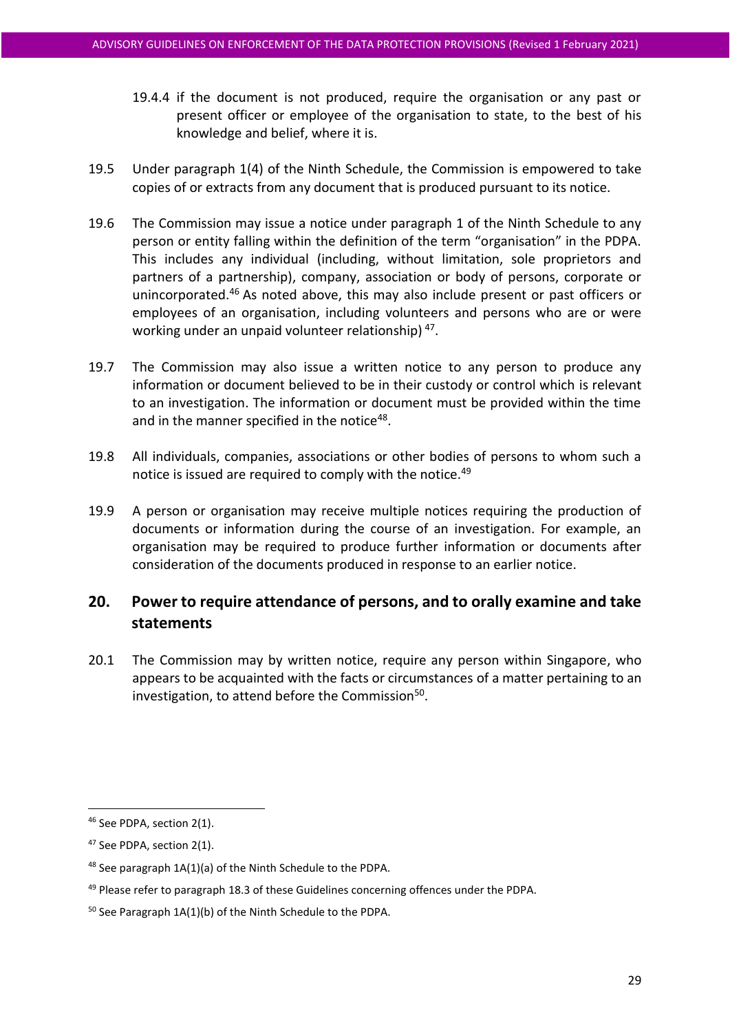- 19.4.4 if the document is not produced, require the organisation or any past or present officer or employee of the organisation to state, to the best of his knowledge and belief, where it is.
- 19.5 Under paragraph 1(4) of the Ninth Schedule, the Commission is empowered to take copies of or extracts from any document that is produced pursuant to its notice.
- 19.6 The Commission may issue a notice under paragraph 1 of the Ninth Schedule to any person or entity falling within the definition of the term "organisation" in the PDPA. This includes any individual (including, without limitation, sole proprietors and partners of a partnership), company, association or body of persons, corporate or unincorporated.<sup>46</sup> As noted above, this may also include present or past officers or employees of an organisation, including volunteers and persons who are or were working under an unpaid volunteer relationship)<sup>47</sup>.
- 19.7 The Commission may also issue a written notice to any person to produce any information or document believed to be in their custody or control which is relevant to an investigation. The information or document must be provided within the time and in the manner specified in the notice<sup>48</sup>.
- 19.8 All individuals, companies, associations or other bodies of persons to whom such a notice is issued are required to comply with the notice.<sup>49</sup>
- 19.9 A person or organisation may receive multiple notices requiring the production of documents or information during the course of an investigation. For example, an organisation may be required to produce further information or documents after consideration of the documents produced in response to an earlier notice.

# **20. Power to require attendance of persons, and to orally examine and take statements**

20.1 The Commission may by written notice, require any person within Singapore, who appears to be acquainted with the facts or circumstances of a matter pertaining to an investigation, to attend before the Commission<sup>50</sup>.

<sup>46</sup> See PDPA, section 2(1).

<sup>47</sup> See PDPA, section 2(1).

<sup>48</sup> See paragraph 1A(1)(a) of the Ninth Schedule to the PDPA.

<sup>&</sup>lt;sup>49</sup> Please refer to paragraph [18.3](#page-26-0) of these Guidelines concerning offences under the PDPA.

<sup>50</sup> See Paragraph 1A(1)(b) of the Ninth Schedule to the PDPA.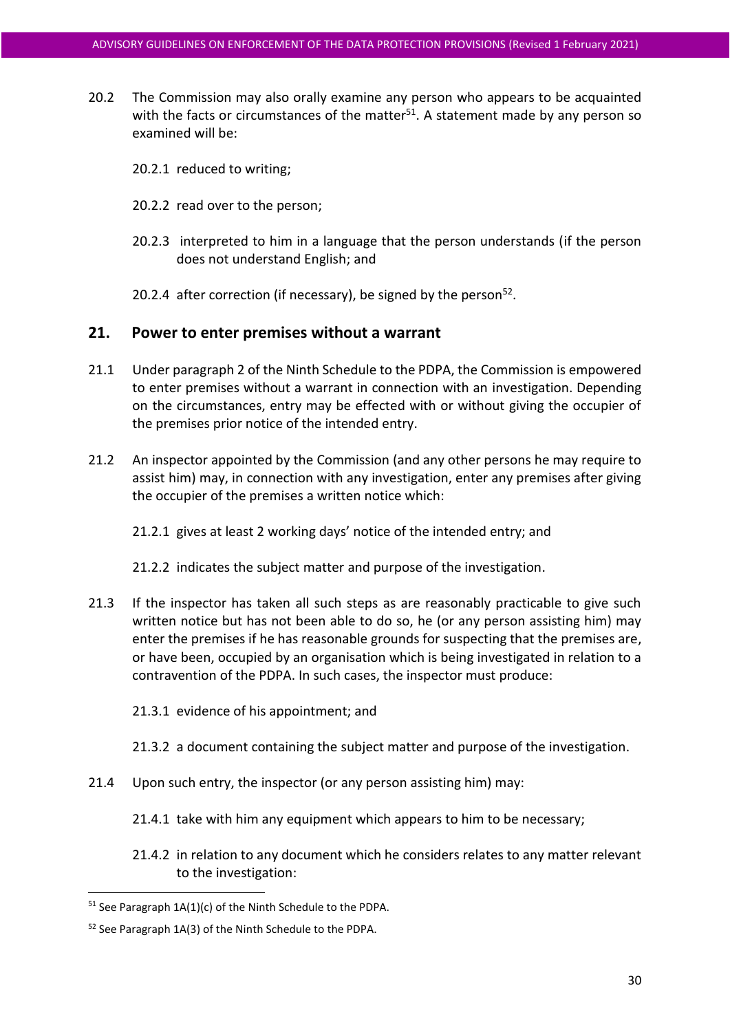- 20.2 The Commission may also orally examine any person who appears to be acquainted with the facts or circumstances of the matter<sup>51</sup>. A statement made by any person so examined will be:
	- 20.2.1 reduced to writing;
	- 20.2.2 read over to the person;
	- 20.2.3 interpreted to him in a language that the person understands (if the person does not understand English; and
	- 20.2.4 after correction (if necessary), be signed by the person $52$ .

#### **21. Power to enter premises without a warrant**

- 21.1 Under paragraph 2 of the Ninth Schedule to the PDPA, the Commission is empowered to enter premises without a warrant in connection with an investigation. Depending on the circumstances, entry may be effected with or without giving the occupier of the premises prior notice of the intended entry.
- 21.2 An inspector appointed by the Commission (and any other persons he may require to assist him) may, in connection with any investigation, enter any premises after giving the occupier of the premises a written notice which:

21.2.1 gives at least 2 working days' notice of the intended entry; and

- 21.2.2 indicates the subject matter and purpose of the investigation.
- 21.3 If the inspector has taken all such steps as are reasonably practicable to give such written notice but has not been able to do so, he (or any person assisting him) may enter the premises if he has reasonable grounds for suspecting that the premises are, or have been, occupied by an organisation which is being investigated in relation to a contravention of the PDPA. In such cases, the inspector must produce:
	- 21.3.1 evidence of his appointment; and
	- 21.3.2 a document containing the subject matter and purpose of the investigation.
- 21.4 Upon such entry, the inspector (or any person assisting him) may:
	- 21.4.1 take with him any equipment which appears to him to be necessary;
	- 21.4.2 in relation to any document which he considers relates to any matter relevant to the investigation:

 $51$  See Paragraph  $1A(1)(c)$  of the Ninth Schedule to the PDPA.

<sup>52</sup> See Paragraph 1A(3) of the Ninth Schedule to the PDPA.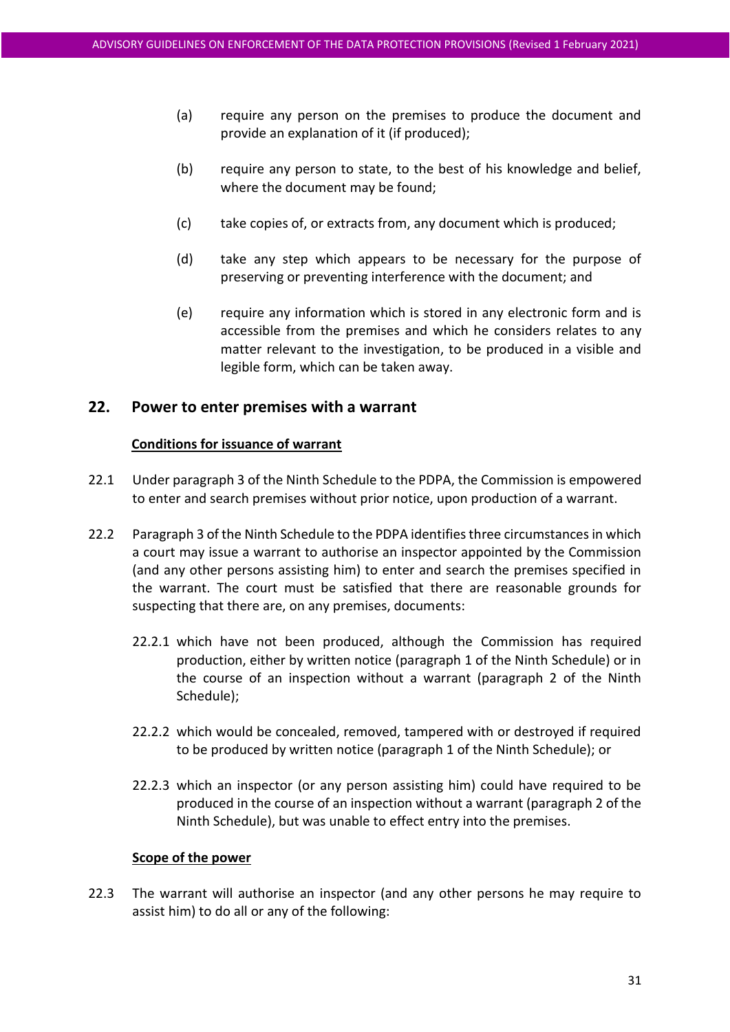- (a) require any person on the premises to produce the document and provide an explanation of it (if produced);
- (b) require any person to state, to the best of his knowledge and belief, where the document may be found;
- (c) take copies of, or extracts from, any document which is produced;
- (d) take any step which appears to be necessary for the purpose of preserving or preventing interference with the document; and
- (e) require any information which is stored in any electronic form and is accessible from the premises and which he considers relates to any matter relevant to the investigation, to be produced in a visible and legible form, which can be taken away.

#### **22. Power to enter premises with a warrant**

#### **Conditions for issuance of warrant**

- 22.1 Under paragraph 3 of the Ninth Schedule to the PDPA, the Commission is empowered to enter and search premises without prior notice, upon production of a warrant.
- <span id="page-30-0"></span>22.2 Paragraph 3 of the Ninth Schedule to the PDPA identifies three circumstances in which a court may issue a warrant to authorise an inspector appointed by the Commission (and any other persons assisting him) to enter and search the premises specified in the warrant. The court must be satisfied that there are reasonable grounds for suspecting that there are, on any premises, documents:
	- 22.2.1 which have not been produced, although the Commission has required production, either by written notice (paragraph 1 of the Ninth Schedule) or in the course of an inspection without a warrant (paragraph 2 of the Ninth Schedule);
	- 22.2.2 which would be concealed, removed, tampered with or destroyed if required to be produced by written notice (paragraph 1 of the Ninth Schedule); or
	- 22.2.3 which an inspector (or any person assisting him) could have required to be produced in the course of an inspection without a warrant (paragraph 2 of the Ninth Schedule), but was unable to effect entry into the premises.

#### **Scope of the power**

22.3 The warrant will authorise an inspector (and any other persons he may require to assist him) to do all or any of the following: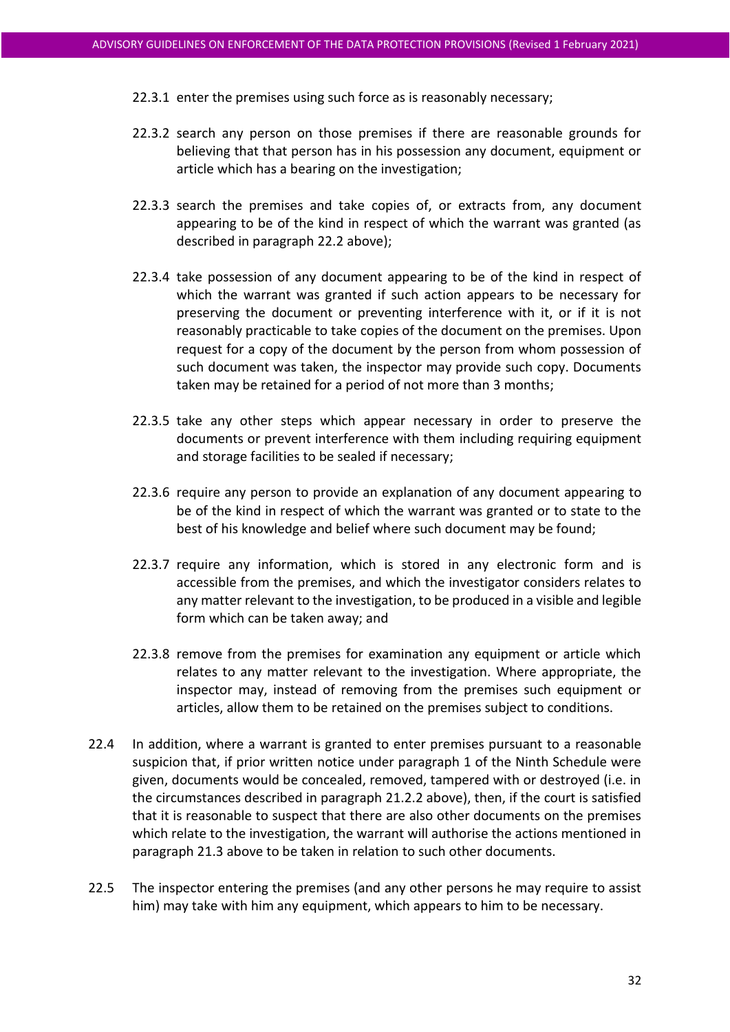- 22.3.1 enter the premises using such force as is reasonably necessary;
- 22.3.2 search any person on those premises if there are reasonable grounds for believing that that person has in his possession any document, equipment or article which has a bearing on the investigation;
- 22.3.3 search the premises and take copies of, or extracts from, any document appearing to be of the kind in respect of which the warrant was granted (as described in paragraph [22.2](#page-30-0) above);
- 22.3.4 take possession of any document appearing to be of the kind in respect of which the warrant was granted if such action appears to be necessary for preserving the document or preventing interference with it, or if it is not reasonably practicable to take copies of the document on the premises. Upon request for a copy of the document by the person from whom possession of such document was taken, the inspector may provide such copy. Documents taken may be retained for a period of not more than 3 months;
- 22.3.5 take any other steps which appear necessary in order to preserve the documents or prevent interference with them including requiring equipment and storage facilities to be sealed if necessary;
- 22.3.6 require any person to provide an explanation of any document appearing to be of the kind in respect of which the warrant was granted or to state to the best of his knowledge and belief where such document may be found;
- 22.3.7 require any information, which is stored in any electronic form and is accessible from the premises, and which the investigator considers relates to any matter relevant to the investigation, to be produced in a visible and legible form which can be taken away; and
- 22.3.8 remove from the premises for examination any equipment or article which relates to any matter relevant to the investigation. Where appropriate, the inspector may, instead of removing from the premises such equipment or articles, allow them to be retained on the premises subject to conditions.
- 22.4 In addition, where a warrant is granted to enter premises pursuant to a reasonable suspicion that, if prior written notice under paragraph 1 of the Ninth Schedule were given, documents would be concealed, removed, tampered with or destroyed (i.e. in the circumstances described in paragraph 21.2.2 above), then, if the court is satisfied that it is reasonable to suspect that there are also other documents on the premises which relate to the investigation, the warrant will authorise the actions mentioned in paragraph 21.3 above to be taken in relation to such other documents.
- 22.5 The inspector entering the premises (and any other persons he may require to assist him) may take with him any equipment, which appears to him to be necessary.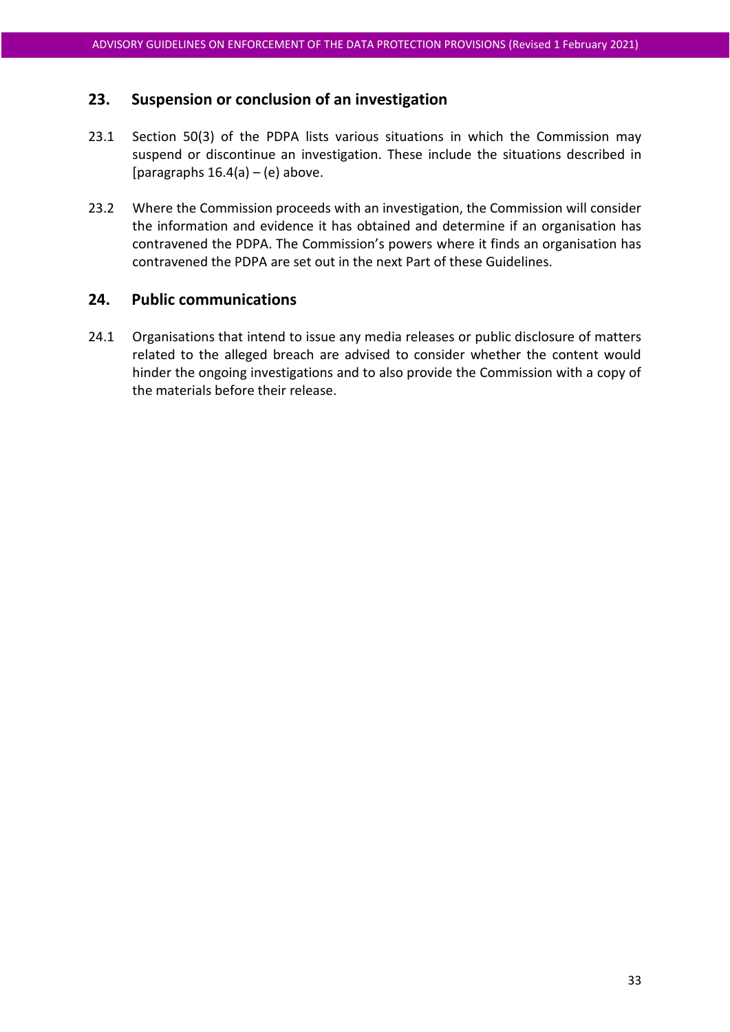# **23. Suspension or conclusion of an investigation**

- 23.1 Section 50(3) of the PDPA lists various situations in which the Commission may suspend or discontinue an investigation. These include the situations described in [paragraphs  $16.4(a) - (e)$  $16.4(a) - (e)$  $16.4(a) - (e)$  $16.4(a) - (e)$  above.
- 23.2 Where the Commission proceeds with an investigation, the Commission will consider the information and evidence it has obtained and determine if an organisation has contravened the PDPA. The Commission's powers where it finds an organisation has contravened the PDPA are set out in the next Part of these Guidelines.

# **24. Public communications**

24.1 Organisations that intend to issue any media releases or public disclosure of matters related to the alleged breach are advised to consider whether the content would hinder the ongoing investigations and to also provide the Commission with a copy of the materials before their release.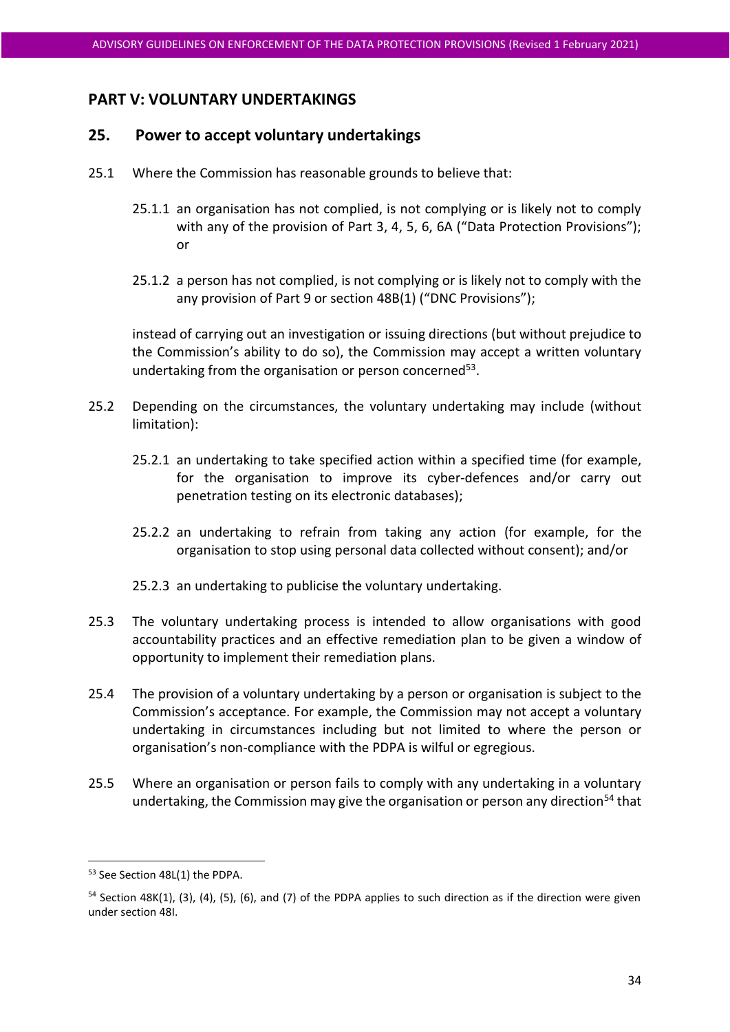# **PART V: VOLUNTARY UNDERTAKINGS**

# <span id="page-33-0"></span>**25. Power to accept voluntary undertakings**

- 25.1 Where the Commission has reasonable grounds to believe that:
	- 25.1.1 an organisation has not complied, is not complying or is likely not to comply with any of the provision of Part 3, 4, 5, 6, 6A ("Data Protection Provisions"); or
	- 25.1.2 a person has not complied, is not complying or is likely not to comply with the any provision of Part 9 or section 48B(1) ("DNC Provisions");

instead of carrying out an investigation or issuing directions (but without prejudice to the Commission's ability to do so), the Commission may accept a written voluntary undertaking from the organisation or person concerned<sup>53</sup>.

- 25.2 Depending on the circumstances, the voluntary undertaking may include (without limitation):
	- 25.2.1 an undertaking to take specified action within a specified time (for example, for the organisation to improve its cyber-defences and/or carry out penetration testing on its electronic databases);
	- 25.2.2 an undertaking to refrain from taking any action (for example, for the organisation to stop using personal data collected without consent); and/or
	- 25.2.3 an undertaking to publicise the voluntary undertaking.
- <span id="page-33-1"></span>25.3 The voluntary undertaking process is intended to allow organisations with good accountability practices and an effective remediation plan to be given a window of opportunity to implement their remediation plans.
- 25.4 The provision of a voluntary undertaking by a person or organisation is subject to the Commission's acceptance. For example, the Commission may not accept a voluntary undertaking in circumstances including but not limited to where the person or organisation's non-compliance with the PDPA is wilful or egregious.
- 25.5 Where an organisation or person fails to comply with any undertaking in a voluntary undertaking, the Commission may give the organisation or person any direction<sup>54</sup> that

<sup>53</sup> See Section 48L(1) the PDPA.

<sup>&</sup>lt;sup>54</sup> Section 48K(1), (3), (4), (5), (6), and (7) of the PDPA applies to such direction as if the direction were given under section 48I.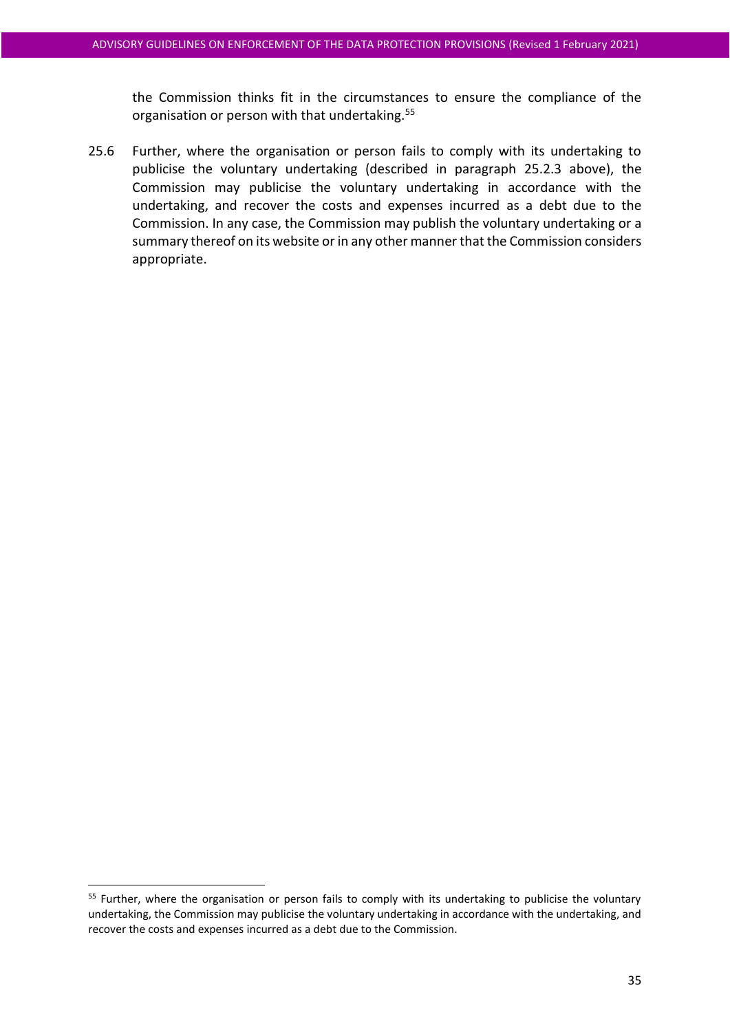the Commission thinks fit in the circumstances to ensure the compliance of the organisation or person with that undertaking.<sup>55</sup>

25.6 Further, where the organisation or person fails to comply with its undertaking to publicise the voluntary undertaking (described in paragraph [25.2.3](#page-33-1) above), the Commission may publicise the voluntary undertaking in accordance with the undertaking, and recover the costs and expenses incurred as a debt due to the Commission. In any case, the Commission may publish the voluntary undertaking or a summary thereof on its website or in any other manner that the Commission considers appropriate.

<sup>&</sup>lt;sup>55</sup> Further, where the organisation or person fails to comply with its undertaking to publicise the voluntary undertaking, the Commission may publicise the voluntary undertaking in accordance with the undertaking, and recover the costs and expenses incurred as a debt due to the Commission.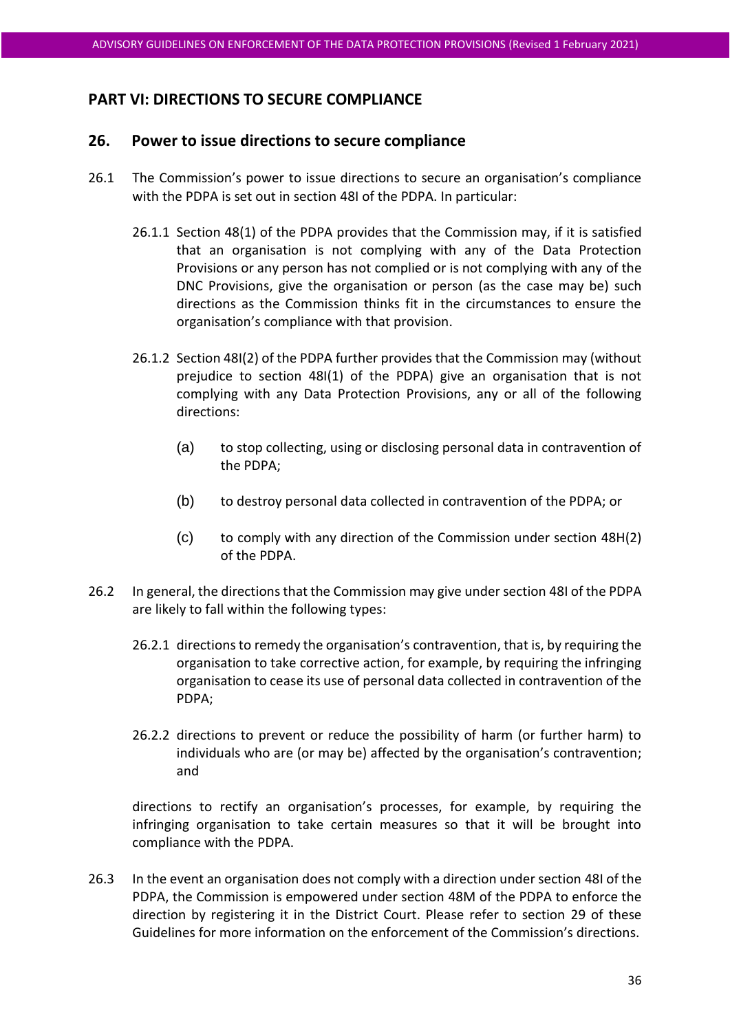# **PART VI: DIRECTIONS TO SECURE COMPLIANCE**

#### <span id="page-35-0"></span>**26. Power to issue directions to secure compliance**

- 26.1 The Commission's power to issue directions to secure an organisation's compliance with the PDPA is set out in section 48I of the PDPA. In particular:
	- 26.1.1 Section 48(1) of the PDPA provides that the Commission may, if it is satisfied that an organisation is not complying with any of the Data Protection Provisions or any person has not complied or is not complying with any of the DNC Provisions, give the organisation or person (as the case may be) such directions as the Commission thinks fit in the circumstances to ensure the organisation's compliance with that provision.
	- 26.1.2 Section 48I(2) of the PDPA further provides that the Commission may (without prejudice to section 48I(1) of the PDPA) give an organisation that is not complying with any Data Protection Provisions, any or all of the following directions:
		- (a) to stop collecting, using or disclosing personal data in contravention of the PDPA;
		- (b) to destroy personal data collected in contravention of the PDPA; or
		- (c) to comply with any direction of the Commission under section 48H(2) of the PDPA.
- 26.2 In general, the directions that the Commission may give under section 48I of the PDPA are likely to fall within the following types:
	- 26.2.1 directions to remedy the organisation's contravention, that is, by requiring the organisation to take corrective action, for example, by requiring the infringing organisation to cease its use of personal data collected in contravention of the PDPA;
	- 26.2.2 directions to prevent or reduce the possibility of harm (or further harm) to individuals who are (or may be) affected by the organisation's contravention; and

directions to rectify an organisation's processes, for example, by requiring the infringing organisation to take certain measures so that it will be brought into compliance with the PDPA.

26.3 In the event an organisation does not comply with a direction under section 48I of the PDPA, the Commission is empowered under section 48M of the PDPA to enforce the direction by registering it in the District Court. Please refer to section [29](#page-43-0) of these Guidelines for more information on the enforcement of the Commission's directions.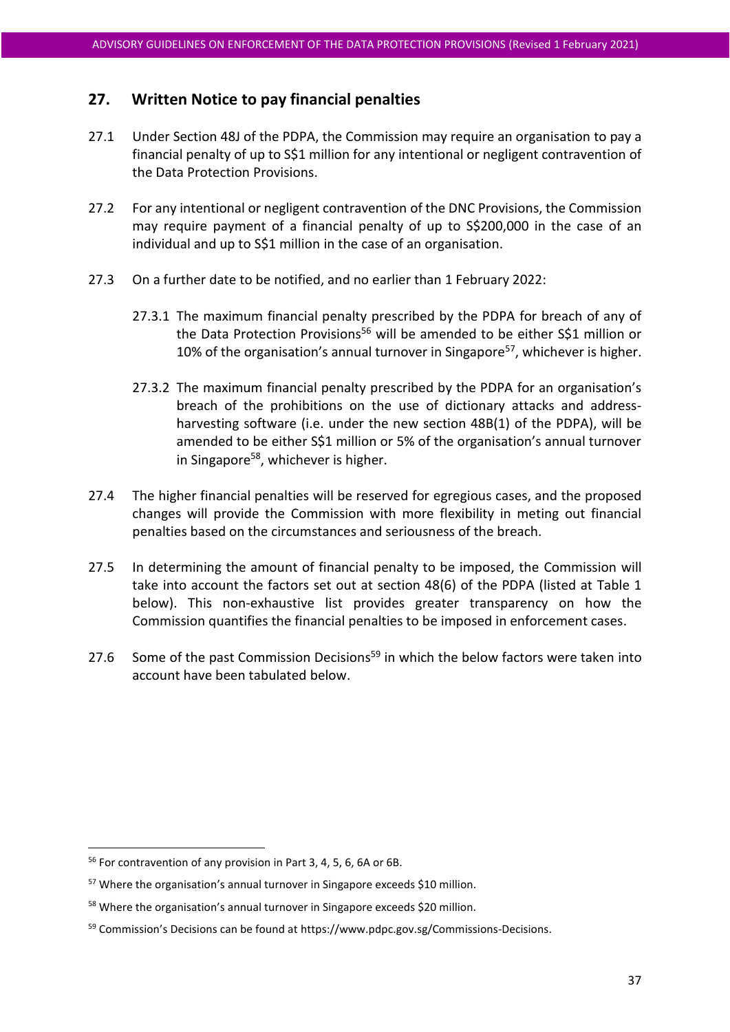# **27. Written Notice to pay financial penalties**

- 27.1 Under Section 48J of the PDPA, the Commission may require an organisation to pay a financial penalty of up to S\$1 million for any intentional or negligent contravention of the Data Protection Provisions.
- 27.2 For any intentional or negligent contravention of the DNC Provisions, the Commission may require payment of a financial penalty of up to S\$200,000 in the case of an individual and up to S\$1 million in the case of an organisation.
- 27.3 On a further date to be notified, and no earlier than 1 February 2022:
	- 27.3.1 The maximum financial penalty prescribed by the PDPA for breach of any of the Data Protection Provisions<sup>56</sup> will be amended to be either S\$1 million or 10% of the organisation's annual turnover in Singapore<sup>57</sup>, whichever is higher.
	- 27.3.2 The maximum financial penalty prescribed by the PDPA for an organisation's breach of the prohibitions on the use of dictionary attacks and addressharvesting software (i.e. under the new section 48B(1) of the PDPA), will be amended to be either S\$1 million or 5% of the organisation's annual turnover in Singapore<sup>58</sup>, whichever is higher.
- 27.4 The higher financial penalties will be reserved for egregious cases, and the proposed changes will provide the Commission with more flexibility in meting out financial penalties based on the circumstances and seriousness of the breach.
- 27.5 In determining the amount of financial penalty to be imposed, the Commission will take into account the factors set out at section 48(6) of the PDPA (listed at Table 1 below). This non-exhaustive list provides greater transparency on how the Commission quantifies the financial penalties to be imposed in enforcement cases.
- 27.6 Some of the past Commission Decisions<sup>59</sup> in which the below factors were taken into account have been tabulated below.

<sup>56</sup> For contravention of any provision in Part 3, 4, 5, 6, 6A or 6B.

<sup>57</sup> Where the organisation's annual turnover in Singapore exceeds \$10 million.

<sup>58</sup> Where the organisation's annual turnover in Singapore exceeds \$20 million.

<sup>&</sup>lt;sup>59</sup> Commission's Decisions can be found at [https://www.pdpc.gov.sg/Commissions-Decisions.](https://www.pdpc.gov.sg/Commissions-Decisions)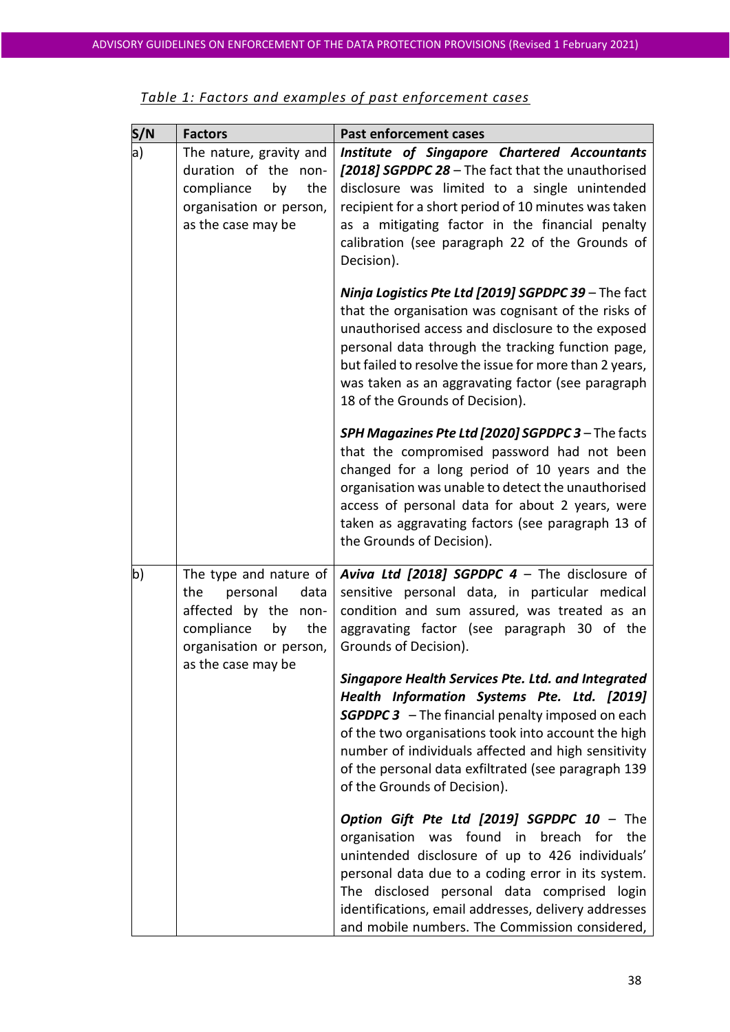| S/N | <b>Factors</b>                                                                                                                  | <b>Past enforcement cases</b>                                                                                                                                                                                                                                                                                                                                          |
|-----|---------------------------------------------------------------------------------------------------------------------------------|------------------------------------------------------------------------------------------------------------------------------------------------------------------------------------------------------------------------------------------------------------------------------------------------------------------------------------------------------------------------|
| a)  | The nature, gravity and<br>duration of the non-<br>compliance<br>by<br>the<br>organisation or person,<br>as the case may be     | Institute of Singapore Chartered Accountants<br>[2018] SGPDPC 28 - The fact that the unauthorised<br>disclosure was limited to a single unintended<br>recipient for a short period of 10 minutes was taken<br>as a mitigating factor in the financial penalty<br>calibration (see paragraph 22 of the Grounds of<br>Decision).                                         |
|     |                                                                                                                                 | Ninja Logistics Pte Ltd [2019] SGPDPC 39 - The fact<br>that the organisation was cognisant of the risks of<br>unauthorised access and disclosure to the exposed<br>personal data through the tracking function page,<br>but failed to resolve the issue for more than 2 years,<br>was taken as an aggravating factor (see paragraph<br>18 of the Grounds of Decision). |
|     |                                                                                                                                 | SPH Magazines Pte Ltd [2020] SGPDPC 3 - The facts<br>that the compromised password had not been<br>changed for a long period of 10 years and the<br>organisation was unable to detect the unauthorised<br>access of personal data for about 2 years, were<br>taken as aggravating factors (see paragraph 13 of<br>the Grounds of Decision).                            |
| b)  | The type and nature of<br>personal<br>the<br>data<br>affected by the non-<br>compliance<br>by<br>the<br>organisation or person, | <b>Aviva Ltd [2018] SGPDPC 4</b> – The disclosure of<br>sensitive personal data, in particular medical<br>condition and sum assured, was treated as an<br>aggravating factor (see paragraph 30 of the<br>Grounds of Decision).                                                                                                                                         |
|     | as the case may be                                                                                                              | Singapore Health Services Pte. Ltd. and Integrated<br>Health Information Systems Pte. Ltd. [2019]<br><b>SGPDPC 3</b> - The financial penalty imposed on each<br>of the two organisations took into account the high<br>number of individuals affected and high sensitivity<br>of the personal data exfiltrated (see paragraph 139<br>of the Grounds of Decision).      |
|     |                                                                                                                                 | Option Gift Pte Ltd [2019] SGPDPC 10 - The<br>was found in breach for<br>organisation<br>the<br>unintended disclosure of up to 426 individuals'<br>personal data due to a coding error in its system.<br>The disclosed personal data comprised login<br>identifications, email addresses, delivery addresses<br>and mobile numbers. The Commission considered,         |

| Table 1: Factors and examples of past enforcement cases |
|---------------------------------------------------------|
|---------------------------------------------------------|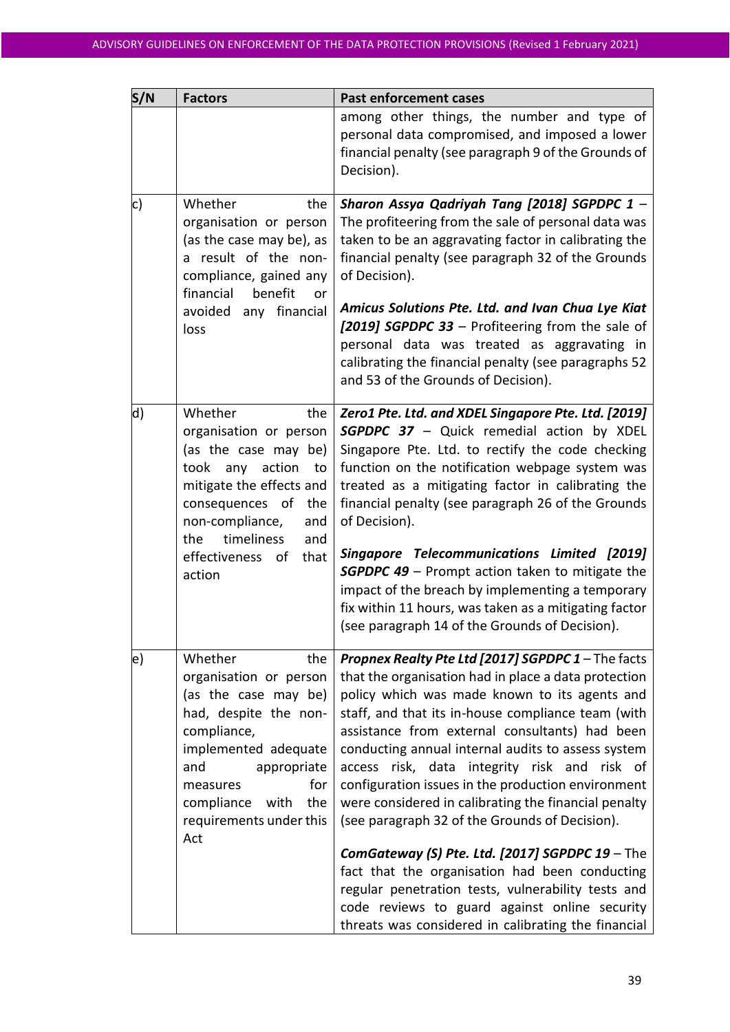| S/N | <b>Factors</b>                                                                                                                                                                                                                           | <b>Past enforcement cases</b>                                                                                                                                                                                                                                                                                                                                                                                                                                                                                                                                                                                                                                                                                                                                                                                |
|-----|------------------------------------------------------------------------------------------------------------------------------------------------------------------------------------------------------------------------------------------|--------------------------------------------------------------------------------------------------------------------------------------------------------------------------------------------------------------------------------------------------------------------------------------------------------------------------------------------------------------------------------------------------------------------------------------------------------------------------------------------------------------------------------------------------------------------------------------------------------------------------------------------------------------------------------------------------------------------------------------------------------------------------------------------------------------|
|     |                                                                                                                                                                                                                                          | among other things, the number and type of<br>personal data compromised, and imposed a lower<br>financial penalty (see paragraph 9 of the Grounds of<br>Decision).                                                                                                                                                                                                                                                                                                                                                                                                                                                                                                                                                                                                                                           |
| c)  | Whether<br>the<br>organisation or person<br>(as the case may be), as<br>a result of the non-<br>compliance, gained any<br>financial<br>benefit<br>or<br>avoided<br>any financial<br>loss                                                 | Sharon Assya Qadriyah Tang [2018] SGPDPC 1 -<br>The profiteering from the sale of personal data was<br>taken to be an aggravating factor in calibrating the<br>financial penalty (see paragraph 32 of the Grounds<br>of Decision).<br>Amicus Solutions Pte. Ltd. and Ivan Chua Lye Kiat<br>[2019] SGPDPC 33 - Profiteering from the sale of<br>personal data was treated as aggravating in<br>calibrating the financial penalty (see paragraphs 52<br>and 53 of the Grounds of Decision).                                                                                                                                                                                                                                                                                                                    |
| d)  | Whether<br>the<br>organisation or person<br>(as the case may be)<br>took any action<br>to<br>mitigate the effects and<br>consequences of the<br>non-compliance,<br>and<br>timeliness<br>the<br>and<br>effectiveness of<br>that<br>action | Zero1 Pte. Ltd. and XDEL Singapore Pte. Ltd. [2019]<br><b>SGPDPC 37</b> - Quick remedial action by XDEL<br>Singapore Pte. Ltd. to rectify the code checking<br>function on the notification webpage system was<br>treated as a mitigating factor in calibrating the<br>financial penalty (see paragraph 26 of the Grounds<br>of Decision).<br><b>Singapore Telecommunications Limited [2019]</b><br><b>SGPDPC 49</b> - Prompt action taken to mitigate the<br>impact of the breach by implementing a temporary<br>fix within 11 hours, was taken as a mitigating factor<br>(see paragraph 14 of the Grounds of Decision).                                                                                                                                                                                    |
| e)  | Whether<br>the<br>organisation or person<br>(as the case may be)<br>had, despite the non-<br>compliance,<br>implemented adequate<br>and<br>appropriate<br>for<br>measures<br>the<br>compliance<br>with<br>requirements under this<br>Act | Propnex Realty Pte Ltd [2017] SGPDPC 1 - The facts<br>that the organisation had in place a data protection<br>policy which was made known to its agents and<br>staff, and that its in-house compliance team (with<br>assistance from external consultants) had been<br>conducting annual internal audits to assess system<br>access risk, data integrity risk and risk of<br>configuration issues in the production environment<br>were considered in calibrating the financial penalty<br>(see paragraph 32 of the Grounds of Decision).<br>ComGateway (S) Pte. Ltd. [2017] SGPDPC 19 - The<br>fact that the organisation had been conducting<br>regular penetration tests, vulnerability tests and<br>code reviews to guard against online security<br>threats was considered in calibrating the financial |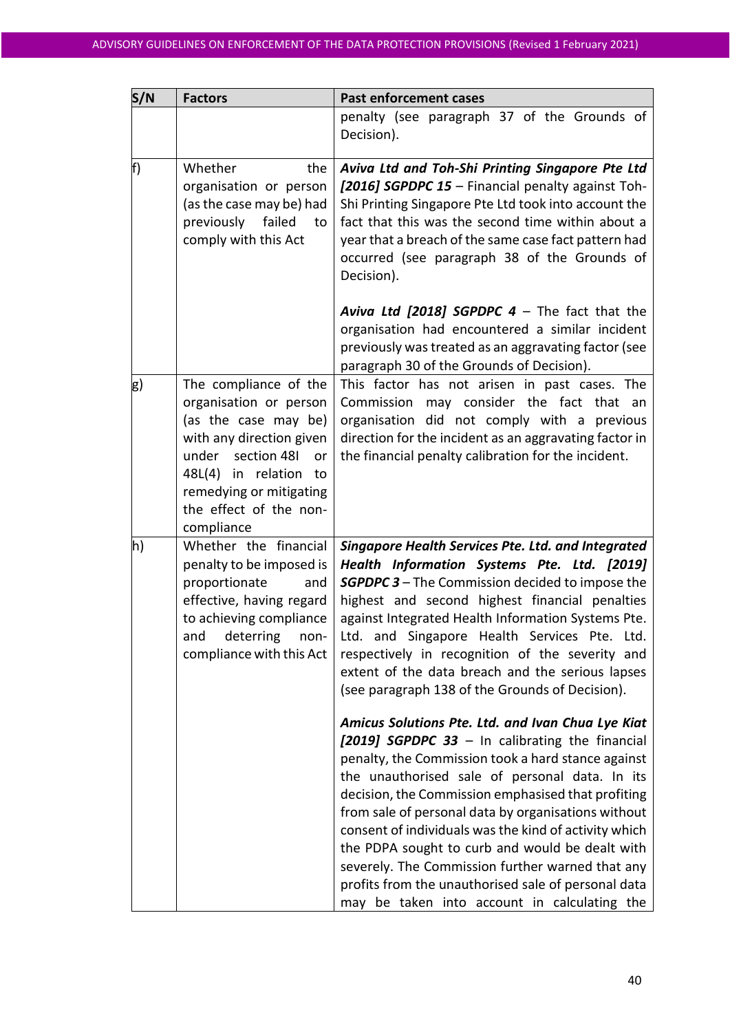|                                                                                                                                                                                                                               | penalty (see paragraph 37 of the Grounds of<br>Decision).                                                                                                                                                                                                                                                                                                                                                                                                                                                                                                                                                                                                                                                                                                                                                                                                                                                                                                                                                                                |
|-------------------------------------------------------------------------------------------------------------------------------------------------------------------------------------------------------------------------------|------------------------------------------------------------------------------------------------------------------------------------------------------------------------------------------------------------------------------------------------------------------------------------------------------------------------------------------------------------------------------------------------------------------------------------------------------------------------------------------------------------------------------------------------------------------------------------------------------------------------------------------------------------------------------------------------------------------------------------------------------------------------------------------------------------------------------------------------------------------------------------------------------------------------------------------------------------------------------------------------------------------------------------------|
| Whether<br>the<br>organisation or person<br>(as the case may be) had<br>previously<br>failed<br>to<br>comply with this Act                                                                                                    | Aviva Ltd and Toh-Shi Printing Singapore Pte Ltd<br>[2016] SGPDPC 15 - Financial penalty against Toh-<br>Shi Printing Singapore Pte Ltd took into account the<br>fact that this was the second time within about a<br>year that a breach of the same case fact pattern had<br>occurred (see paragraph 38 of the Grounds of<br>Decision).                                                                                                                                                                                                                                                                                                                                                                                                                                                                                                                                                                                                                                                                                                 |
|                                                                                                                                                                                                                               | <b>Aviva Ltd [2018] SGPDPC 4</b> $-$ The fact that the<br>organisation had encountered a similar incident<br>previously was treated as an aggravating factor (see<br>paragraph 30 of the Grounds of Decision).                                                                                                                                                                                                                                                                                                                                                                                                                                                                                                                                                                                                                                                                                                                                                                                                                           |
| The compliance of the<br>organisation or person<br>(as the case may be)<br>with any direction given<br>under section 48I<br>or<br>48L(4) in relation<br>to<br>remedying or mitigating<br>the effect of the non-<br>compliance | This factor has not arisen in past cases. The<br>Commission may consider the fact that<br>an<br>organisation did not comply with a previous<br>direction for the incident as an aggravating factor in<br>the financial penalty calibration for the incident.                                                                                                                                                                                                                                                                                                                                                                                                                                                                                                                                                                                                                                                                                                                                                                             |
| Whether the financial<br>penalty to be imposed is<br>proportionate<br>and<br>effective, having regard<br>to achieving compliance<br>and deterring non-<br>compliance with this Act                                            | <b>Singapore Health Services Pte. Ltd. and Integrated</b><br>Health Information Systems Pte. Ltd. [2019]<br><b>SGPDPC 3</b> – The Commission decided to impose the<br>highest and second highest financial penalties<br>against Integrated Health Information Systems Pte.<br>Ltd. and Singapore Health Services Pte. Ltd.<br>respectively in recognition of the severity and<br>extent of the data breach and the serious lapses<br>(see paragraph 138 of the Grounds of Decision).<br>Amicus Solutions Pte. Ltd. and Ivan Chua Lye Kiat<br>[2019] SGPDPC 33 - In calibrating the financial<br>penalty, the Commission took a hard stance against<br>the unauthorised sale of personal data. In its<br>decision, the Commission emphasised that profiting<br>from sale of personal data by organisations without<br>consent of individuals was the kind of activity which<br>the PDPA sought to curb and would be dealt with<br>severely. The Commission further warned that any<br>profits from the unauthorised sale of personal data |
|                                                                                                                                                                                                                               |                                                                                                                                                                                                                                                                                                                                                                                                                                                                                                                                                                                                                                                                                                                                                                                                                                                                                                                                                                                                                                          |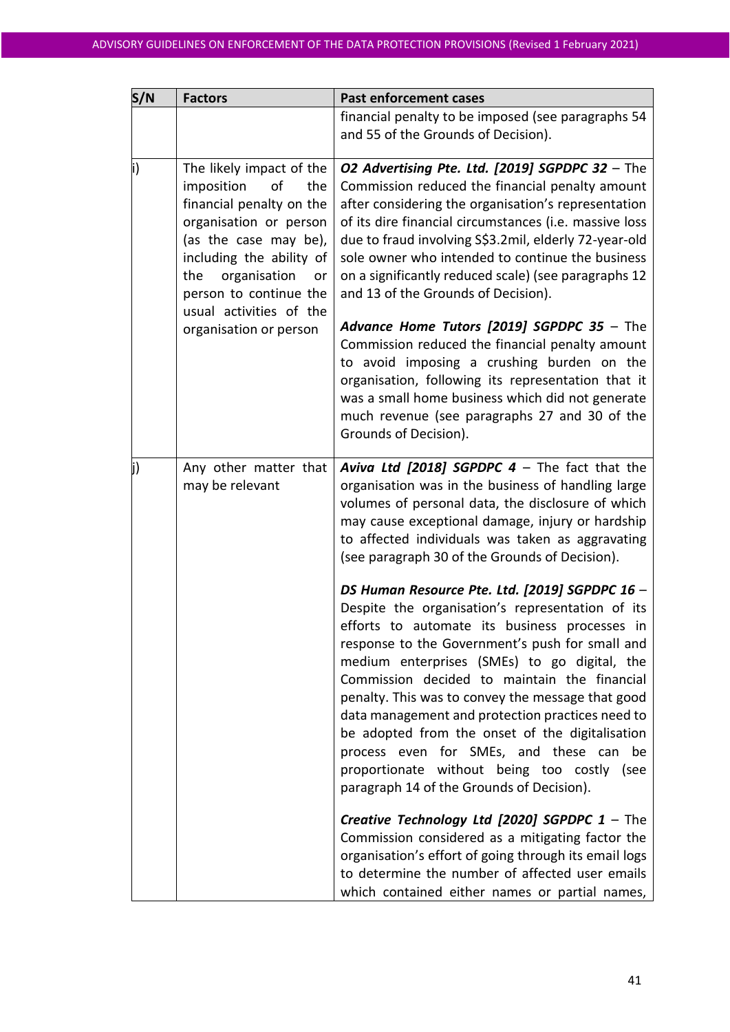| S/N | <b>Factors</b>                                                                                                                                                                                                                                                             | <b>Past enforcement cases</b>                                                                                                                                                                                                                                                                                                                                                                                                                                                                                                                                                                                                                                                                                                                                                                                                                                                                                                                                                                                                                                                                                                                                                                                  |
|-----|----------------------------------------------------------------------------------------------------------------------------------------------------------------------------------------------------------------------------------------------------------------------------|----------------------------------------------------------------------------------------------------------------------------------------------------------------------------------------------------------------------------------------------------------------------------------------------------------------------------------------------------------------------------------------------------------------------------------------------------------------------------------------------------------------------------------------------------------------------------------------------------------------------------------------------------------------------------------------------------------------------------------------------------------------------------------------------------------------------------------------------------------------------------------------------------------------------------------------------------------------------------------------------------------------------------------------------------------------------------------------------------------------------------------------------------------------------------------------------------------------|
|     |                                                                                                                                                                                                                                                                            | financial penalty to be imposed (see paragraphs 54<br>and 55 of the Grounds of Decision).                                                                                                                                                                                                                                                                                                                                                                                                                                                                                                                                                                                                                                                                                                                                                                                                                                                                                                                                                                                                                                                                                                                      |
|     | The likely impact of the<br>imposition<br>the<br>οf<br>financial penalty on the<br>organisation or person<br>(as the case may be),<br>including the ability of<br>organisation<br>the<br>or<br>person to continue the<br>usual activities of the<br>organisation or person | O2 Advertising Pte. Ltd. [2019] SGPDPC 32 - The<br>Commission reduced the financial penalty amount<br>after considering the organisation's representation<br>of its dire financial circumstances (i.e. massive loss<br>due to fraud involving S\$3.2mil, elderly 72-year-old<br>sole owner who intended to continue the business<br>on a significantly reduced scale) (see paragraphs 12<br>and 13 of the Grounds of Decision).<br>Advance Home Tutors [2019] SGPDPC 35 - The<br>Commission reduced the financial penalty amount<br>to avoid imposing a crushing burden on the<br>organisation, following its representation that it<br>was a small home business which did not generate<br>much revenue (see paragraphs 27 and 30 of the<br>Grounds of Decision).                                                                                                                                                                                                                                                                                                                                                                                                                                             |
|     | Any other matter that<br>may be relevant                                                                                                                                                                                                                                   | <b>Aviva Ltd [2018] SGPDPC 4</b> - The fact that the<br>organisation was in the business of handling large<br>volumes of personal data, the disclosure of which<br>may cause exceptional damage, injury or hardship<br>to affected individuals was taken as aggravating<br>(see paragraph 30 of the Grounds of Decision).<br>DS Human Resource Pte. Ltd. [2019] SGPDPC 16 -<br>Despite the organisation's representation of its<br>efforts to automate its business processes in<br>response to the Government's push for small and<br>medium enterprises (SMEs) to go digital, the<br>Commission decided to maintain the financial<br>penalty. This was to convey the message that good<br>data management and protection practices need to<br>be adopted from the onset of the digitalisation<br>process even for SMEs, and these can<br>be<br>proportionate without being too costly (see<br>paragraph 14 of the Grounds of Decision).<br>Creative Technology Ltd [2020] SGPDPC $1$ - The<br>Commission considered as a mitigating factor the<br>organisation's effort of going through its email logs<br>to determine the number of affected user emails<br>which contained either names or partial names, |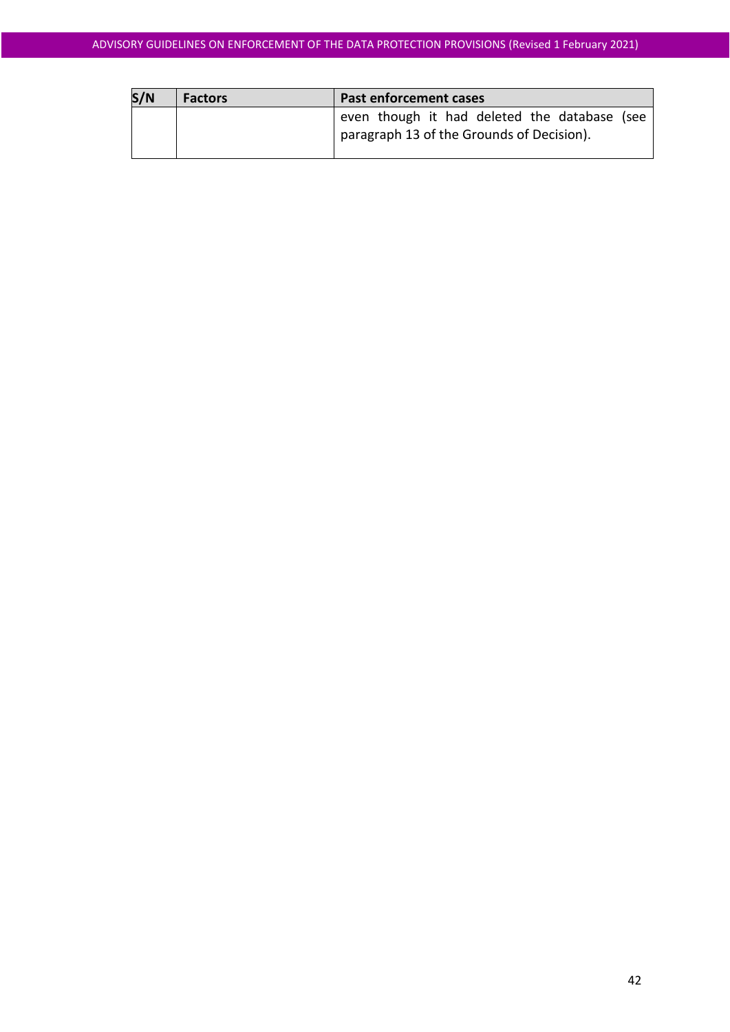| S/N | <b>Factors</b> | Past enforcement cases                       |
|-----|----------------|----------------------------------------------|
|     |                | even though it had deleted the database (see |
|     |                | paragraph 13 of the Grounds of Decision).    |
|     |                |                                              |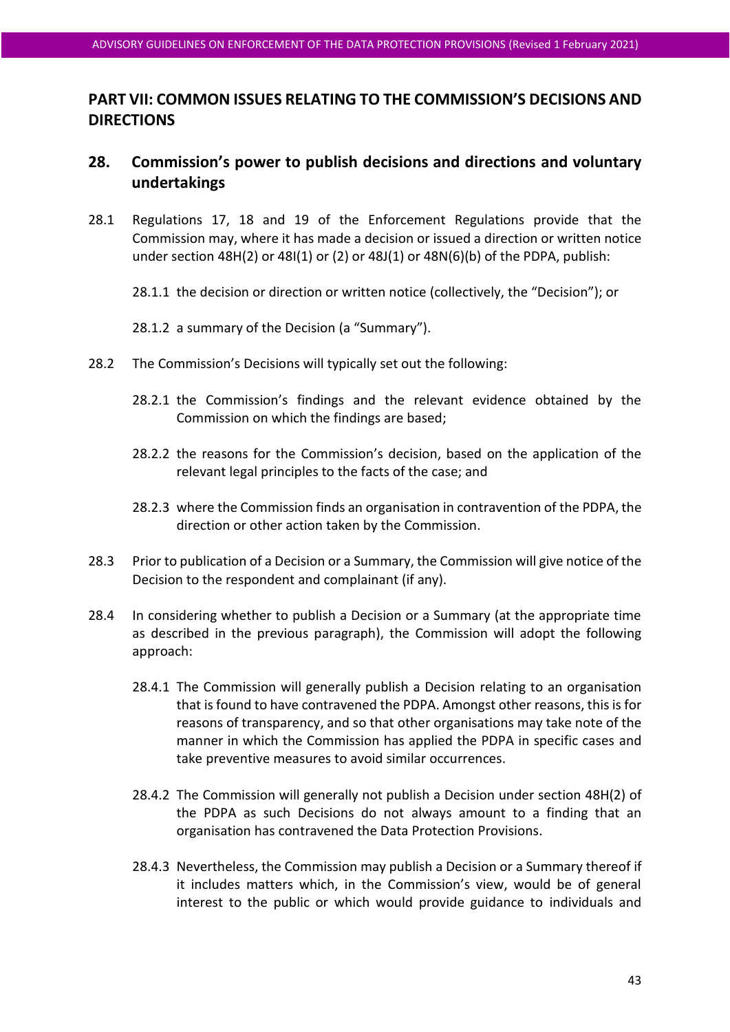# **PART VII: COMMON ISSUES RELATING TO THE COMMISSION'S DECISIONS AND DIRECTIONS**

# <span id="page-42-0"></span>**28. Commission's power to publish decisions and directions and voluntary undertakings**

- 28.1 Regulations 17, 18 and 19 of the Enforcement Regulations provide that the Commission may, where it has made a decision or issued a direction or written notice under section 48H(2) or 48I(1) or (2) or 48J(1) or 48N(6)(b) of the PDPA, publish:
	- 28.1.1 the decision or direction or written notice (collectively, the "Decision"); or
	- 28.1.2 a summary of the Decision (a "Summary").
- 28.2 The Commission's Decisions will typically set out the following:
	- 28.2.1 the Commission's findings and the relevant evidence obtained by the Commission on which the findings are based;
	- 28.2.2 the reasons for the Commission's decision, based on the application of the relevant legal principles to the facts of the case; and
	- 28.2.3 where the Commission finds an organisation in contravention of the PDPA, the direction or other action taken by the Commission.
- 28.3 Prior to publication of a Decision or a Summary, the Commission will give notice of the Decision to the respondent and complainant (if any).
- 28.4 In considering whether to publish a Decision or a Summary (at the appropriate time as described in the previous paragraph), the Commission will adopt the following approach:
	- 28.4.1 The Commission will generally publish a Decision relating to an organisation that is found to have contravened the PDPA. Amongst other reasons, this is for reasons of transparency, and so that other organisations may take note of the manner in which the Commission has applied the PDPA in specific cases and take preventive measures to avoid similar occurrences.
	- 28.4.2 The Commission will generally not publish a Decision under section 48H(2) of the PDPA as such Decisions do not always amount to a finding that an organisation has contravened the Data Protection Provisions.
	- 28.4.3 Nevertheless, the Commission may publish a Decision or a Summary thereof if it includes matters which, in the Commission's view, would be of general interest to the public or which would provide guidance to individuals and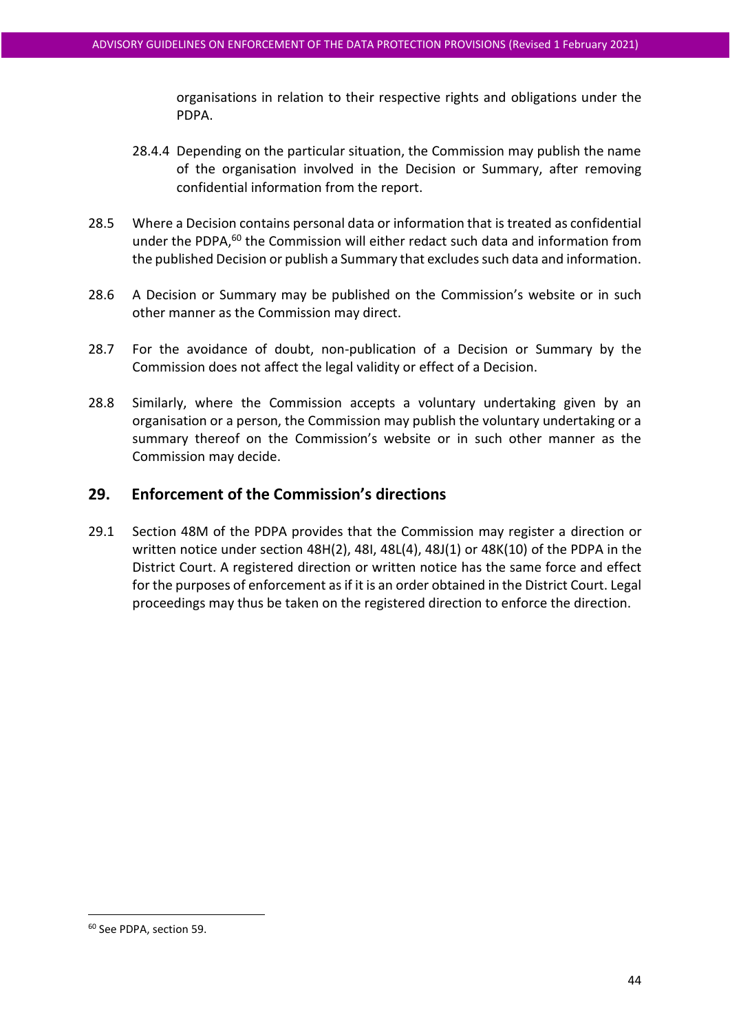organisations in relation to their respective rights and obligations under the PDPA.

- 28.4.4 Depending on the particular situation, the Commission may publish the name of the organisation involved in the Decision or Summary, after removing confidential information from the report.
- 28.5 Where a Decision contains personal data or information that is treated as confidential under the PDPA,<sup>60</sup> the Commission will either redact such data and information from the published Decision or publish a Summary that excludes such data and information.
- 28.6 A Decision or Summary may be published on the Commission's website or in such other manner as the Commission may direct.
- 28.7 For the avoidance of doubt, non-publication of a Decision or Summary by the Commission does not affect the legal validity or effect of a Decision.
- 28.8 Similarly, where the Commission accepts a voluntary undertaking given by an organisation or a person, the Commission may publish the voluntary undertaking or a summary thereof on the Commission's website or in such other manner as the Commission may decide.

# <span id="page-43-0"></span>**29. Enforcement of the Commission's directions**

29.1 Section 48M of the PDPA provides that the Commission may register a direction or written notice under section 48H(2), 48I, 48L(4), 48J(1) or 48K(10) of the PDPA in the District Court. A registered direction or written notice has the same force and effect for the purposes of enforcement as if it is an order obtained in the District Court. Legal proceedings may thus be taken on the registered direction to enforce the direction.

<sup>60</sup> See PDPA, section 59.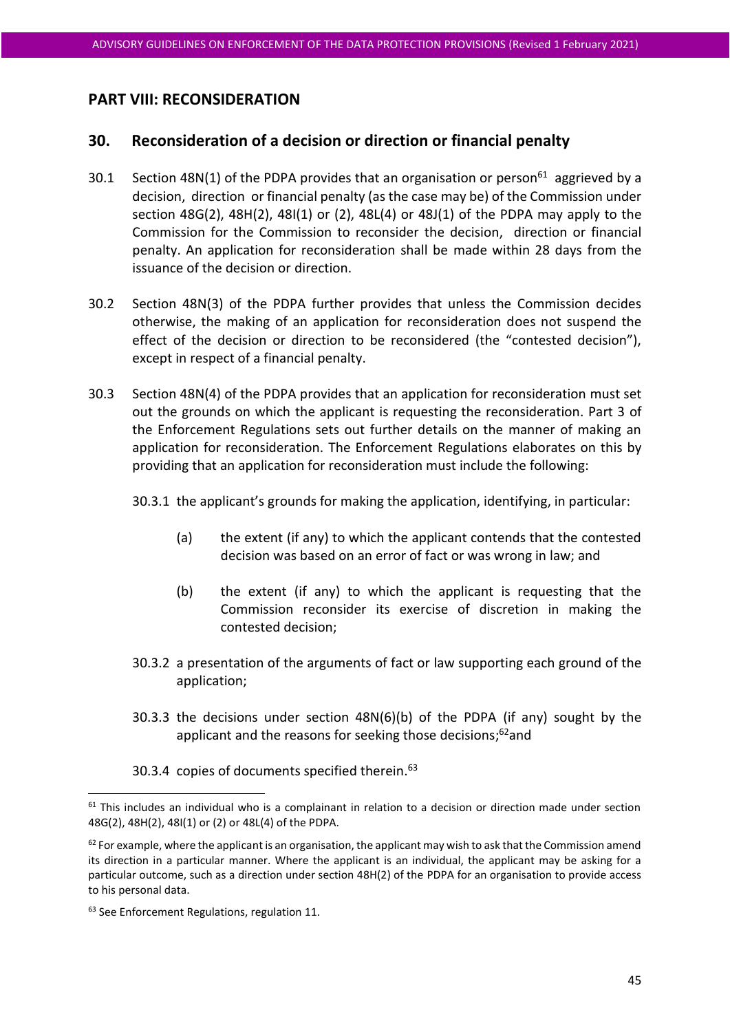# **PART VIII: RECONSIDERATION**

# <span id="page-44-0"></span>**30. Reconsideration of a decision or direction or financial penalty**

- 30.1 Section 48N(1) of the PDPA provides that an organisation or person<sup>61</sup> aggrieved by a decision, direction or financial penalty (as the case may be) of the Commission under section  $48G(2)$ ,  $48H(2)$ ,  $48I(1)$  or  $(2)$ ,  $48L(4)$  or  $48J(1)$  of the PDPA may apply to the Commission for the Commission to reconsider the decision, direction or financial penalty. An application for reconsideration shall be made within 28 days from the issuance of the decision or direction.
- 30.2 Section 48N(3) of the PDPA further provides that unless the Commission decides otherwise, the making of an application for reconsideration does not suspend the effect of the decision or direction to be reconsidered (the "contested decision"), except in respect of a financial penalty.
- 30.3 Section 48N(4) of the PDPA provides that an application for reconsideration must set out the grounds on which the applicant is requesting the reconsideration. Part 3 of the Enforcement Regulations sets out further details on the manner of making an application for reconsideration. The Enforcement Regulations elaborates on this by providing that an application for reconsideration must include the following:

30.3.1 the applicant's grounds for making the application, identifying, in particular:

- (a) the extent (if any) to which the applicant contends that the contested decision was based on an error of fact or was wrong in law; and
- (b) the extent (if any) to which the applicant is requesting that the Commission reconsider its exercise of discretion in making the contested decision;
- 30.3.2 a presentation of the arguments of fact or law supporting each ground of the application;
- 30.3.3 the decisions under section 48N(6)(b) of the PDPA (if any) sought by the applicant and the reasons for seeking those decisions;<sup>62</sup>and
- 30.3.4 copies of documents specified therein.<sup>63</sup>

 $61$  This includes an individual who is a complainant in relation to a decision or direction made under section 48G(2), 48H(2), 48I(1) or (2) or 48L(4) of the PDPA.

<sup>62</sup> For example, where the applicant is an organisation, the applicant may wish to ask that the Commission amend its direction in a particular manner. Where the applicant is an individual, the applicant may be asking for a particular outcome, such as a direction under section 48H(2) of the PDPA for an organisation to provide access to his personal data.

<sup>&</sup>lt;sup>63</sup> See Enforcement Regulations, regulation 11.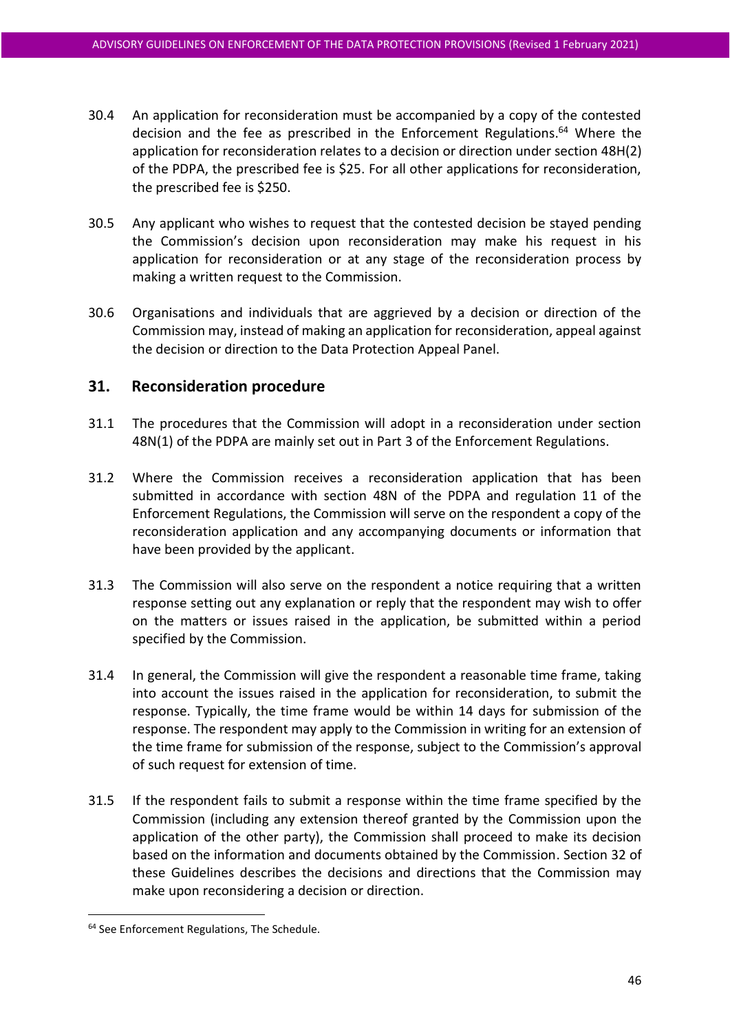- 30.4 An application for reconsideration must be accompanied by a copy of the contested decision and the fee as prescribed in the Enforcement Regulations. <sup>64</sup> Where the application for reconsideration relates to a decision or direction under section 48H(2) of the PDPA, the prescribed fee is \$25. For all other applications for reconsideration, the prescribed fee is \$250.
- 30.5 Any applicant who wishes to request that the contested decision be stayed pending the Commission's decision upon reconsideration may make his request in his application for reconsideration or at any stage of the reconsideration process by making a written request to the Commission.
- 30.6 Organisations and individuals that are aggrieved by a decision or direction of the Commission may, instead of making an application for reconsideration, appeal against the decision or direction to the Data Protection Appeal Panel.

# **31. Reconsideration procedure**

- 31.1 The procedures that the Commission will adopt in a reconsideration under section 48N(1) of the PDPA are mainly set out in Part 3 of the Enforcement Regulations.
- 31.2 Where the Commission receives a reconsideration application that has been submitted in accordance with section 48N of the PDPA and regulation 11 of the Enforcement Regulations, the Commission will serve on the respondent a copy of the reconsideration application and any accompanying documents or information that have been provided by the applicant.
- 31.3 The Commission will also serve on the respondent a notice requiring that a written response setting out any explanation or reply that the respondent may wish to offer on the matters or issues raised in the application, be submitted within a period specified by the Commission.
- 31.4 In general, the Commission will give the respondent a reasonable time frame, taking into account the issues raised in the application for reconsideration, to submit the response. Typically, the time frame would be within 14 days for submission of the response. The respondent may apply to the Commission in writing for an extension of the time frame for submission of the response, subject to the Commission's approval of such request for extension of time.
- 31.5 If the respondent fails to submit a response within the time frame specified by the Commission (including any extension thereof granted by the Commission upon the application of the other party), the Commission shall proceed to make its decision based on the information and documents obtained by the Commission. Section [32](#page-47-0) of these Guidelines describes the decisions and directions that the Commission may make upon reconsidering a decision or direction.

<sup>&</sup>lt;sup>64</sup> See Enforcement Regulations, The Schedule.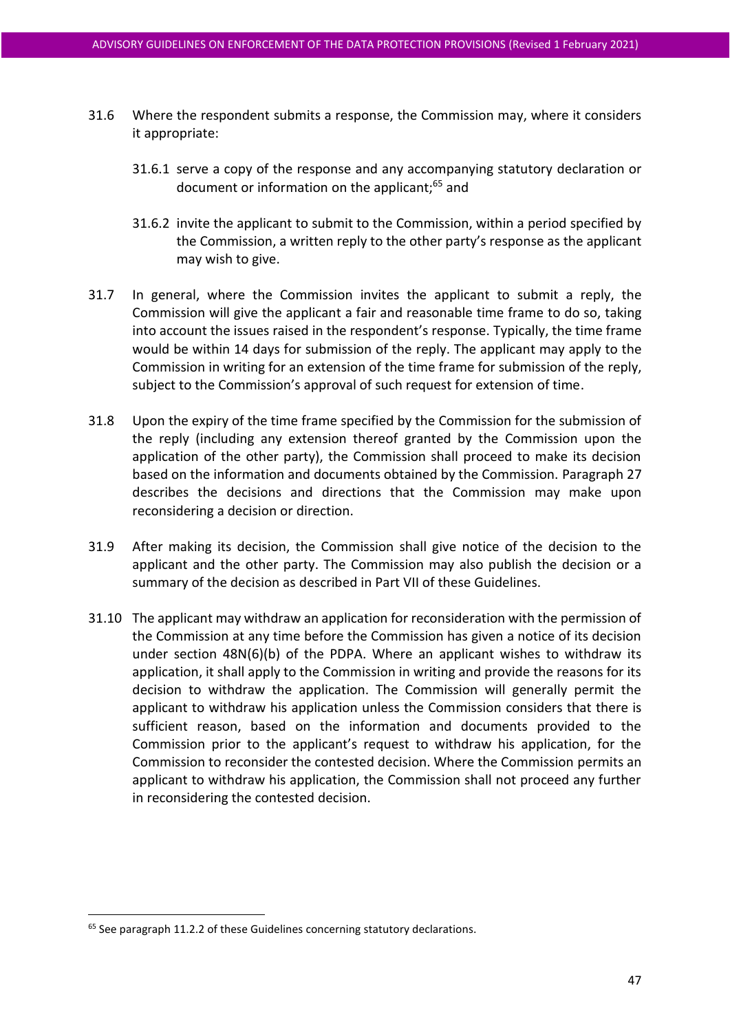- 31.6 Where the respondent submits a response, the Commission may, where it considers it appropriate:
	- 31.6.1 serve a copy of the response and any accompanying statutory declaration or document or information on the applicant;<sup>65</sup> and
	- 31.6.2 invite the applicant to submit to the Commission, within a period specified by the Commission, a written reply to the other party's response as the applicant may wish to give.
- 31.7 In general, where the Commission invites the applicant to submit a reply, the Commission will give the applicant a fair and reasonable time frame to do so, taking into account the issues raised in the respondent's response. Typically, the time frame would be within 14 days for submission of the reply. The applicant may apply to the Commission in writing for an extension of the time frame for submission of the reply, subject to the Commission's approval of such request for extension of time.
- 31.8 Upon the expiry of the time frame specified by the Commission for the submission of the reply (including any extension thereof granted by the Commission upon the application of the other party), the Commission shall proceed to make its decision based on the information and documents obtained by the Commission. Paragraph 27 describes the decisions and directions that the Commission may make upon reconsidering a decision or direction.
- 31.9 After making its decision, the Commission shall give notice of the decision to the applicant and the other party. The Commission may also publish the decision or a summary of the decision as described in Part VII of these Guidelines.
- 31.10 The applicant may withdraw an application for reconsideration with the permission of the Commission at any time before the Commission has given a notice of its decision under section 48N(6)(b) of the PDPA. Where an applicant wishes to withdraw its application, it shall apply to the Commission in writing and provide the reasons for its decision to withdraw the application. The Commission will generally permit the applicant to withdraw his application unless the Commission considers that there is sufficient reason, based on the information and documents provided to the Commission prior to the applicant's request to withdraw his application, for the Commission to reconsider the contested decision. Where the Commission permits an applicant to withdraw his application, the Commission shall not proceed any further in reconsidering the contested decision.

<sup>&</sup>lt;sup>65</sup> See paragrap[h 11.2.2](#page-19-1) of these Guidelines concerning statutory declarations.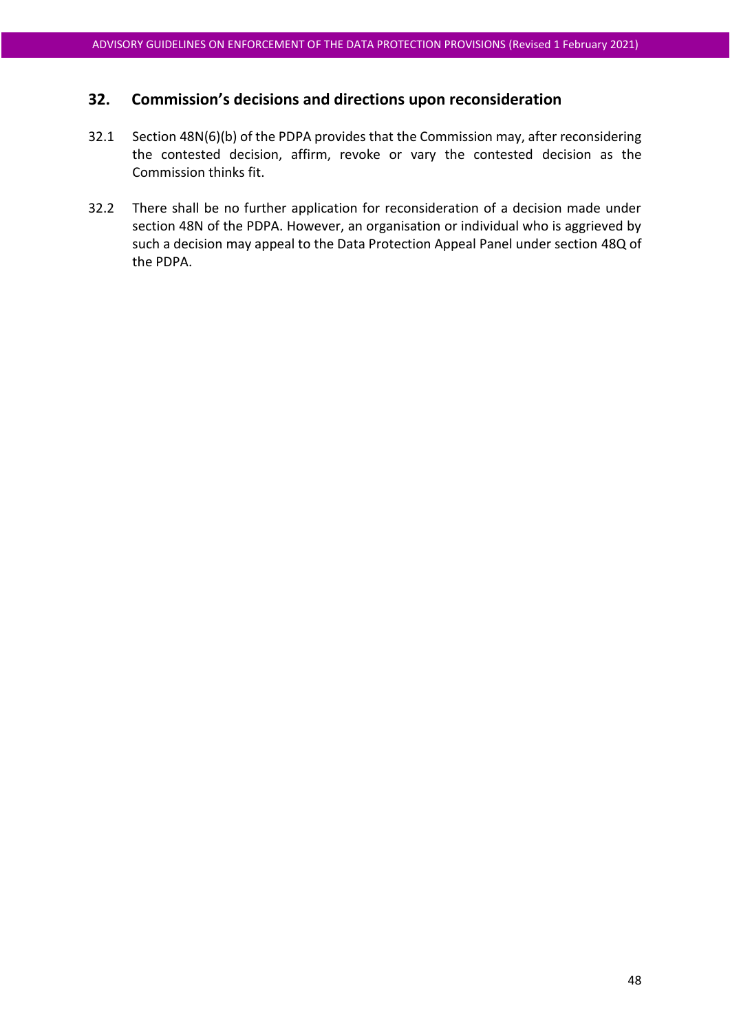# <span id="page-47-0"></span>**32. Commission's decisions and directions upon reconsideration**

- 32.1 Section 48N(6)(b) of the PDPA provides that the Commission may, after reconsidering the contested decision, affirm, revoke or vary the contested decision as the Commission thinks fit.
- 32.2 There shall be no further application for reconsideration of a decision made under section 48N of the PDPA. However, an organisation or individual who is aggrieved by such a decision may appeal to the Data Protection Appeal Panel under section 48Q of the PDPA.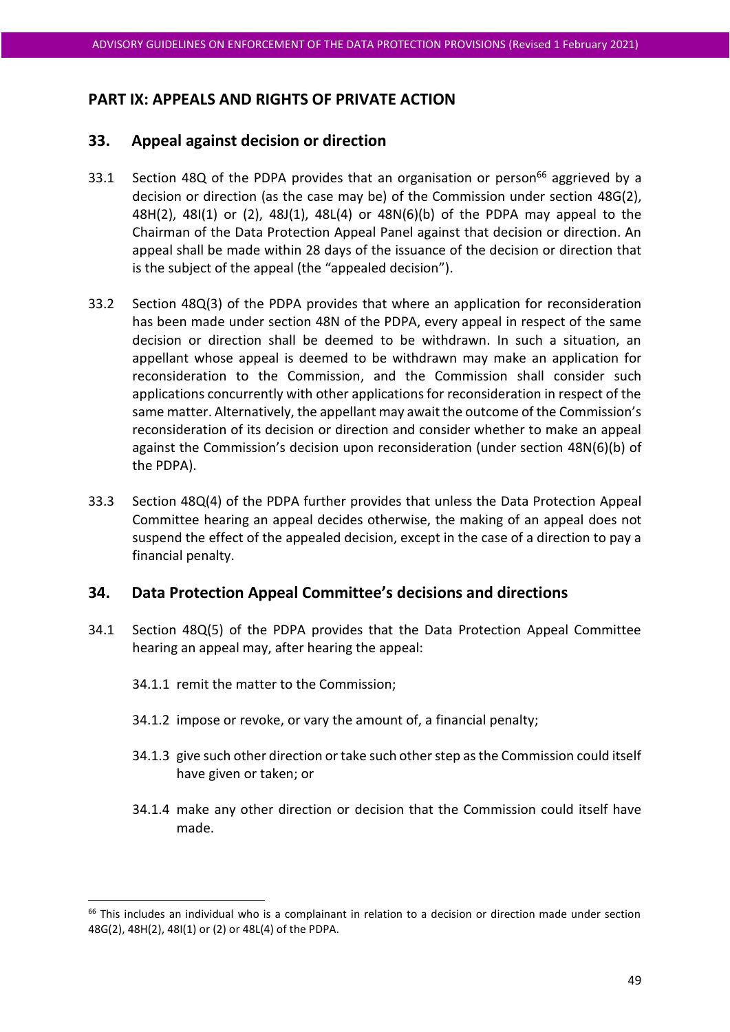# **PART IX: APPEALS AND RIGHTS OF PRIVATE ACTION**

# <span id="page-48-0"></span>**33. Appeal against decision or direction**

- 33.1 Section 48Q of the PDPA provides that an organisation or person<sup>66</sup> aggrieved by a decision or direction (as the case may be) of the Commission under section 48G(2), 48H(2), 48I(1) or (2), 48J(1), 48L(4) or 48N(6)(b) of the PDPA may appeal to the Chairman of the Data Protection Appeal Panel against that decision or direction. An appeal shall be made within 28 days of the issuance of the decision or direction that is the subject of the appeal (the "appealed decision").
- 33.2 Section 48Q(3) of the PDPA provides that where an application for reconsideration has been made under section 48N of the PDPA, every appeal in respect of the same decision or direction shall be deemed to be withdrawn. In such a situation, an appellant whose appeal is deemed to be withdrawn may make an application for reconsideration to the Commission, and the Commission shall consider such applications concurrently with other applications for reconsideration in respect of the same matter. Alternatively, the appellant may await the outcome of the Commission's reconsideration of its decision or direction and consider whether to make an appeal against the Commission's decision upon reconsideration (under section 48N(6)(b) of the PDPA).
- 33.3 Section 48Q(4) of the PDPA further provides that unless the Data Protection Appeal Committee hearing an appeal decides otherwise, the making of an appeal does not suspend the effect of the appealed decision, except in the case of a direction to pay a financial penalty.

# **34. Data Protection Appeal Committee's decisions and directions**

- 34.1 Section 48Q(5) of the PDPA provides that the Data Protection Appeal Committee hearing an appeal may, after hearing the appeal:
	- 34.1.1 remit the matter to the Commission;
	- 34.1.2 impose or revoke, or vary the amount of, a financial penalty;
	- 34.1.3 give such other direction or take such other step as the Commission could itself have given or taken; or
	- 34.1.4 make any other direction or decision that the Commission could itself have made.

<sup>&</sup>lt;sup>66</sup> This includes an individual who is a complainant in relation to a decision or direction made under section 48G(2), 48H(2), 48I(1) or (2) or 48L(4) of the PDPA.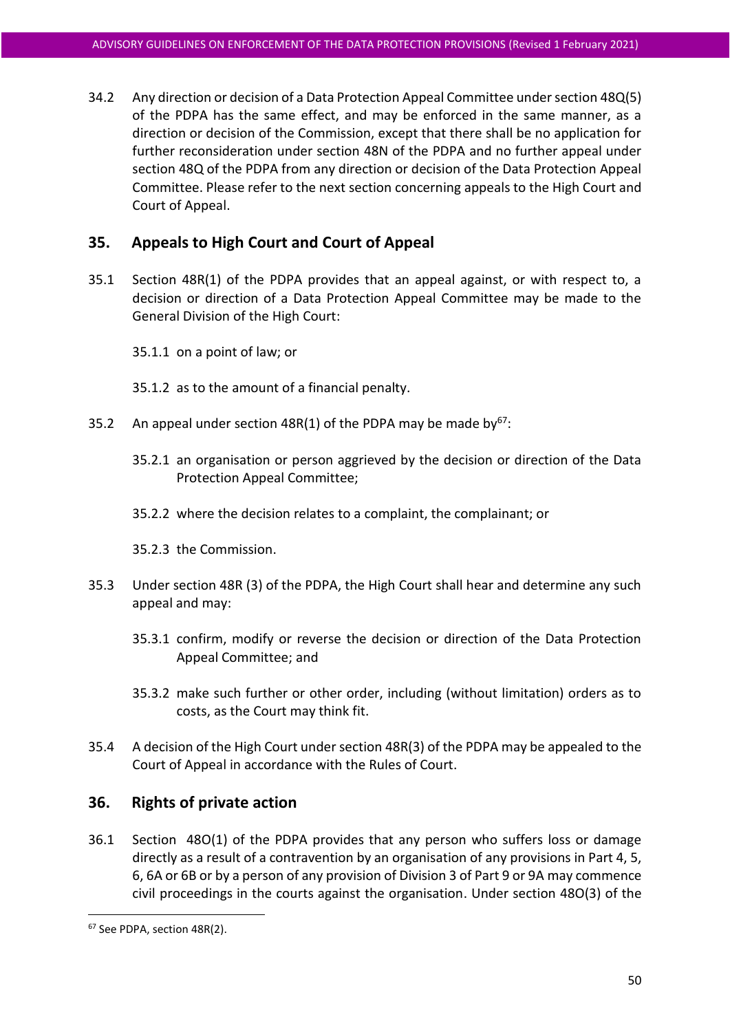34.2 Any direction or decision of a Data Protection Appeal Committee under section 48Q(5) of the PDPA has the same effect, and may be enforced in the same manner, as a direction or decision of the Commission, except that there shall be no application for further reconsideration under section 48N of the PDPA and no further appeal under section 48Q of the PDPA from any direction or decision of the Data Protection Appeal Committee. Please refer to the next section concerning appeals to the High Court and Court of Appeal.

# **35. Appeals to High Court and Court of Appeal**

- 35.1 Section 48R(1) of the PDPA provides that an appeal against, or with respect to, a decision or direction of a Data Protection Appeal Committee may be made to the General Division of the High Court:
	- 35.1.1 on a point of law; or
	- 35.1.2 as to the amount of a financial penalty.
- 35.2 An appeal under section 48R(1) of the PDPA may be made by  $67$ :
	- 35.2.1 an organisation or person aggrieved by the decision or direction of the Data Protection Appeal Committee;
	- 35.2.2 where the decision relates to a complaint, the complainant; or
	- 35.2.3 the Commission.
- 35.3 Under section 48R (3) of the PDPA, the High Court shall hear and determine any such appeal and may:
	- 35.3.1 confirm, modify or reverse the decision or direction of the Data Protection Appeal Committee; and
	- 35.3.2 make such further or other order, including (without limitation) orders as to costs, as the Court may think fit.
- 35.4 A decision of the High Court under section 48R(3) of the PDPA may be appealed to the Court of Appeal in accordance with the Rules of Court.

#### <span id="page-49-0"></span>**36. Rights of private action**

36.1 Section 48O(1) of the PDPA provides that any person who suffers loss or damage directly as a result of a contravention by an organisation of any provisions in Part 4, 5, 6, 6A or 6B or by a person of any provision of Division 3 of Part 9 or 9A may commence civil proceedings in the courts against the organisation. Under section 48O(3) of the

<sup>67</sup> See PDPA, section 48R(2).